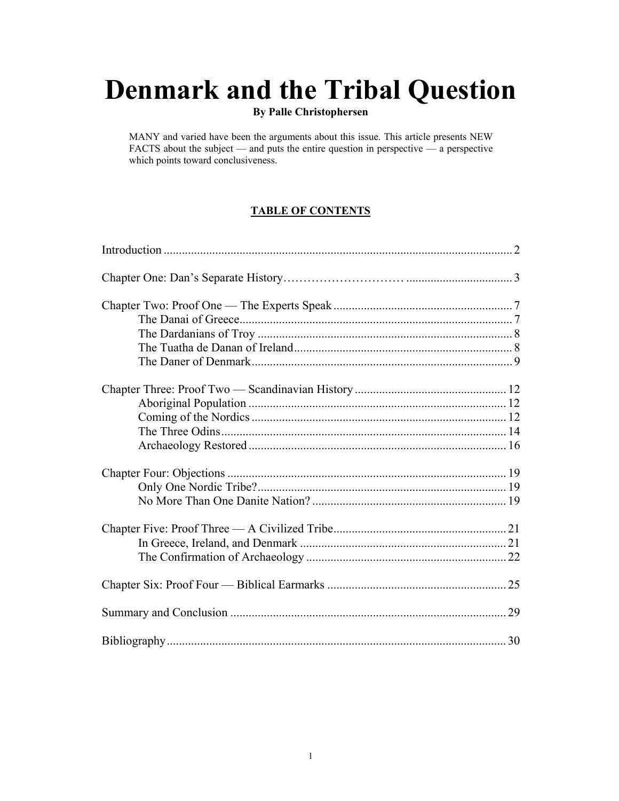# **Denmark and the Tribal Question**

#### **By Palle Christophersen**

MANY and varied have been the arguments about this issue. This article presents NEW FACTS about the subject — and puts the entire question in perspective — a perspective which points toward conclusiveness.

## **TABLE OF CONTENTS**

| 30 |
|----|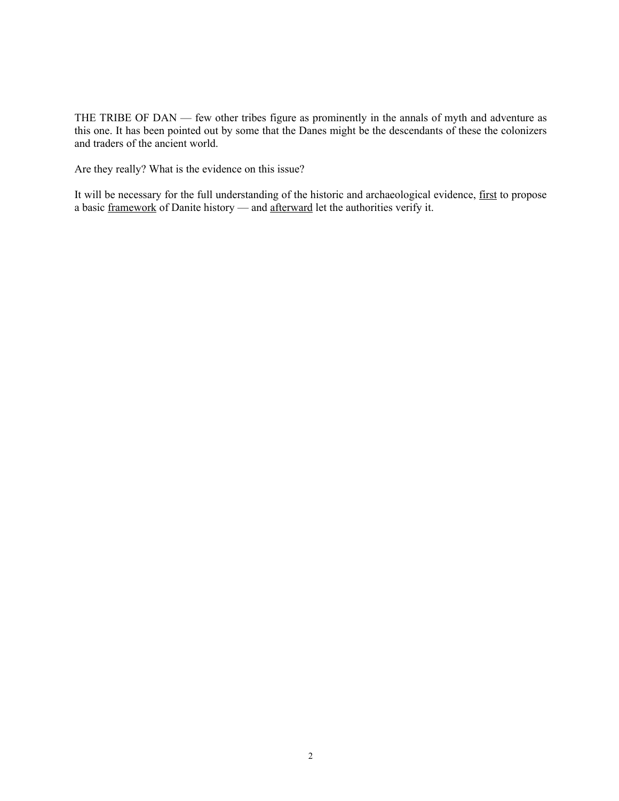THE TRIBE OF DAN — few other tribes figure as prominently in the annals of myth and adventure as this one. It has been pointed out by some that the Danes might be the descendants of these the colonizers and traders of the ancient world.

Are they really? What is the evidence on this issue?

It will be necessary for the full understanding of the historic and archaeological evidence, first to propose a basic framework of Danite history — and afterward let the authorities verify it.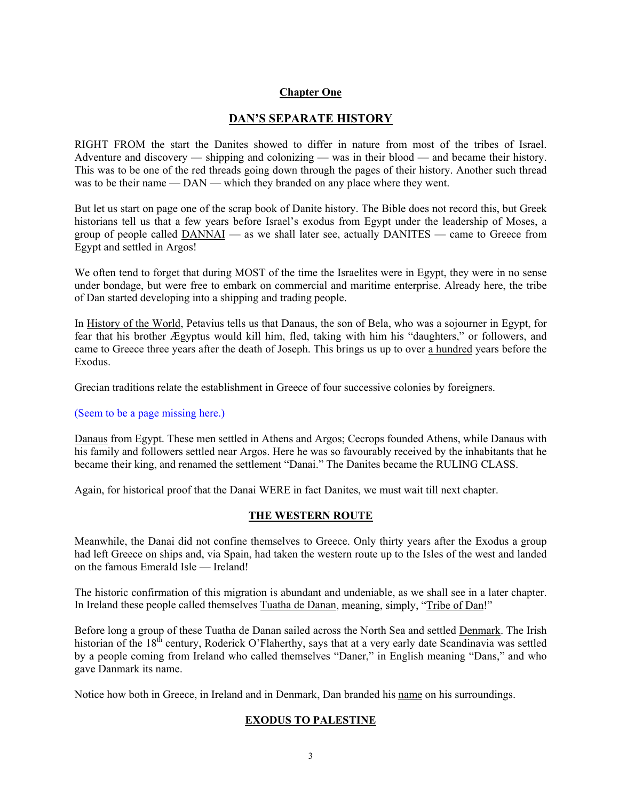#### **Chapter One**

#### **DAN'S SEPARATE HISTORY**

RIGHT FROM the start the Danites showed to differ in nature from most of the tribes of Israel. Adventure and discovery — shipping and colonizing — was in their blood — and became their history. This was to be one of the red threads going down through the pages of their history. Another such thread was to be their name — DAN — which they branded on any place where they went.

But let us start on page one of the scrap book of Danite history. The Bible does not record this, but Greek historians tell us that a few years before Israel's exodus from Egypt under the leadership of Moses, a group of people called DANNAI — as we shall later see, actually DANITES — came to Greece from Egypt and settled in Argos!

We often tend to forget that during MOST of the time the Israelites were in Egypt, they were in no sense under bondage, but were free to embark on commercial and maritime enterprise. Already here, the tribe of Dan started developing into a shipping and trading people.

In History of the World, Petavius tells us that Danaus, the son of Bela, who was a sojourner in Egypt, for fear that his brother Ægyptus would kill him, fled, taking with him his "daughters," or followers, and came to Greece three years after the death of Joseph. This brings us up to over a hundred years before the Exodus.

Grecian traditions relate the establishment in Greece of four successive colonies by foreigners.

#### (Seem to be a page missing here.)

Danaus from Egypt. These men settled in Athens and Argos; Cecrops founded Athens, while Danaus with his family and followers settled near Argos. Here he was so favourably received by the inhabitants that he became their king, and renamed the settlement "Danai." The Danites became the RULING CLASS.

Again, for historical proof that the Danai WERE in fact Danites, we must wait till next chapter.

#### **THE WESTERN ROUTE**

Meanwhile, the Danai did not confine themselves to Greece. Only thirty years after the Exodus a group had left Greece on ships and, via Spain, had taken the western route up to the Isles of the west and landed on the famous Emerald Isle — Ireland!

The historic confirmation of this migration is abundant and undeniable, as we shall see in a later chapter. In Ireland these people called themselves Tuatha de Danan, meaning, simply, "Tribe of Dan!"

Before long a group of these Tuatha de Danan sailed across the North Sea and settled Denmark. The Irish historian of the  $18<sup>th</sup>$  century, Roderick O'Flaherthy, says that at a very early date Scandinavia was settled by a people coming from Ireland who called themselves "Daner," in English meaning "Dans," and who gave Danmark its name.

Notice how both in Greece, in Ireland and in Denmark, Dan branded his name on his surroundings.

#### **EXODUS TO PALESTINE**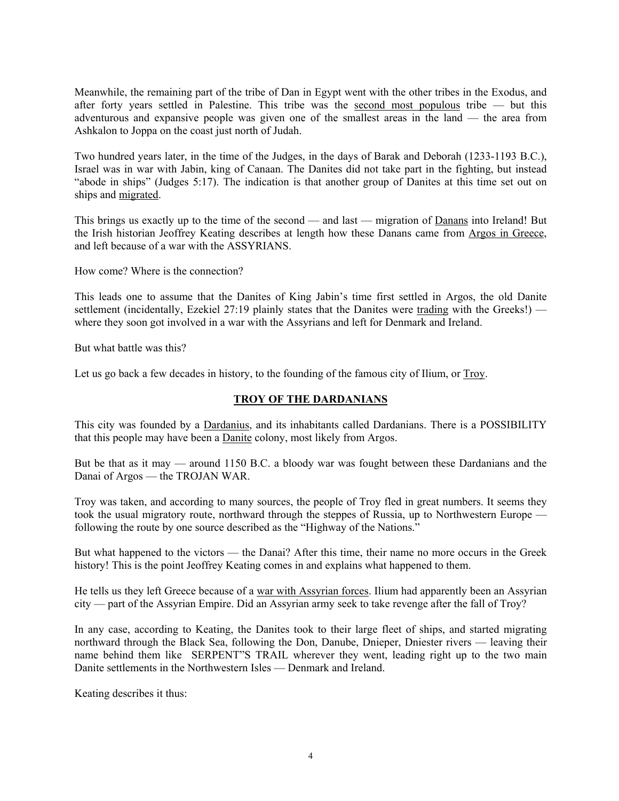Meanwhile, the remaining part of the tribe of Dan in Egypt went with the other tribes in the Exodus, and after forty years settled in Palestine. This tribe was the second most populous tribe  $-$  but this adventurous and expansive people was given one of the smallest areas in the land — the area from Ashkalon to Joppa on the coast just north of Judah.

Two hundred years later, in the time of the Judges, in the days of Barak and Deborah (1233-1193 B.C.), Israel was in war with Jabin, king of Canaan. The Danites did not take part in the fighting, but instead "abode in ships" (Judges 5:17). The indication is that another group of Danites at this time set out on ships and migrated.

This brings us exactly up to the time of the second — and last — migration of Danans into Ireland! But the Irish historian Jeoffrey Keating describes at length how these Danans came from Argos in Greece, and left because of a war with the ASSYRIANS.

How come? Where is the connection?

This leads one to assume that the Danites of King Jabin's time first settled in Argos, the old Danite settlement (incidentally, Ezekiel 27:19 plainly states that the Danites were trading with the Greeks!) where they soon got involved in a war with the Assyrians and left for Denmark and Ireland.

But what battle was this?

Let us go back a few decades in history, to the founding of the famous city of Ilium, or Troy.

#### **TROY OF THE DARDANIANS**

This city was founded by a Dardanius, and its inhabitants called Dardanians. There is a POSSIBILITY that this people may have been a Danite colony, most likely from Argos.

But be that as it may — around 1150 B.C. a bloody war was fought between these Dardanians and the Danai of Argos — the TROJAN WAR.

Troy was taken, and according to many sources, the people of Troy fled in great numbers. It seems they took the usual migratory route, northward through the steppes of Russia, up to Northwestern Europe following the route by one source described as the "Highway of the Nations."

But what happened to the victors — the Danai? After this time, their name no more occurs in the Greek history! This is the point Jeoffrey Keating comes in and explains what happened to them.

He tells us they left Greece because of a war with Assyrian forces. Ilium had apparently been an Assyrian city — part of the Assyrian Empire. Did an Assyrian army seek to take revenge after the fall of Troy?

In any case, according to Keating, the Danites took to their large fleet of ships, and started migrating northward through the Black Sea, following the Don, Danube, Dnieper, Dniester rivers — leaving their name behind them like SERPENT"S TRAIL wherever they went, leading right up to the two main Danite settlements in the Northwestern Isles — Denmark and Ireland.

Keating describes it thus: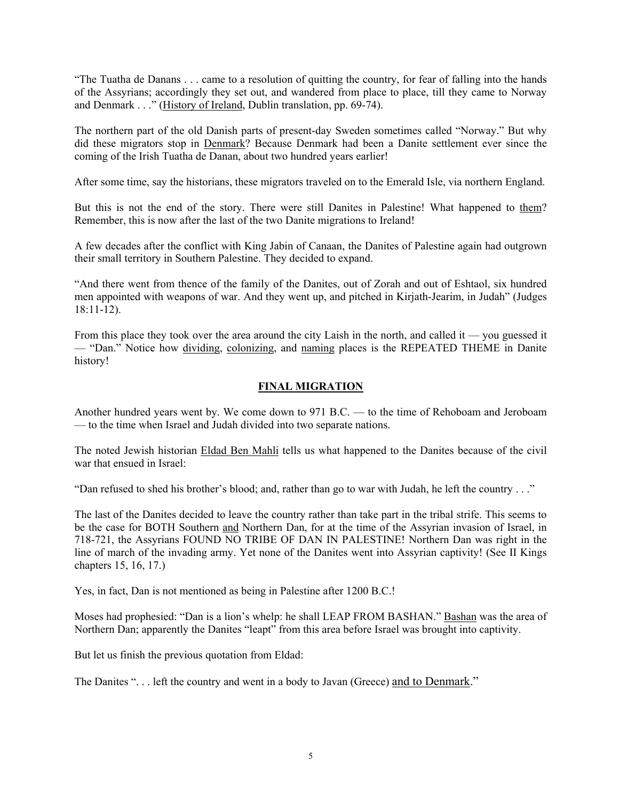"The Tuatha de Danans . . . came to a resolution of quitting the country, for fear of falling into the hands of the Assyrians; accordingly they set out, and wandered from place to place, till they came to Norway and Denmark . . ." (History of Ireland, Dublin translation, pp. 69-74).

The northern part of the old Danish parts of present-day Sweden sometimes called "Norway." But why did these migrators stop in Denmark? Because Denmark had been a Danite settlement ever since the coming of the Irish Tuatha de Danan, about two hundred years earlier!

After some time, say the historians, these migrators traveled on to the Emerald Isle, via northern England.

But this is not the end of the story. There were still Danites in Palestine! What happened to them? Remember, this is now after the last of the two Danite migrations to Ireland!

A few decades after the conflict with King Jabin of Canaan, the Danites of Palestine again had outgrown their small territory in Southern Palestine. They decided to expand.

"And there went from thence of the family of the Danites, out of Zorah and out of Eshtaol, six hundred men appointed with weapons of war. And they went up, and pitched in Kirjath-Jearim, in Judah" (Judges 18:11-12).

From this place they took over the area around the city Laish in the north, and called it — you guessed it — "Dan." Notice how dividing, colonizing, and naming places is the REPEATED THEME in Danite history!

#### **FINAL MIGRATION**

Another hundred years went by. We come down to 971 B.C. — to the time of Rehoboam and Jeroboam — to the time when Israel and Judah divided into two separate nations.

The noted Jewish historian Eldad Ben Mahli tells us what happened to the Danites because of the civil war that ensued in Israel:

"Dan refused to shed his brother's blood; and, rather than go to war with Judah, he left the country . . ."

The last of the Danites decided to leave the country rather than take part in the tribal strife. This seems to be the case for BOTH Southern and Northern Dan, for at the time of the Assyrian invasion of Israel, in 718-721, the Assyrians FOUND NO TRIBE OF DAN IN PALESTINE! Northern Dan was right in the line of march of the invading army. Yet none of the Danites went into Assyrian captivity! (See II Kings chapters 15, 16, 17.)

Yes, in fact, Dan is not mentioned as being in Palestine after 1200 B.C.!

Moses had prophesied: "Dan is a lion's whelp: he shall LEAP FROM BASHAN." Bashan was the area of Northern Dan; apparently the Danites "leapt" from this area before Israel was brought into captivity.

But let us finish the previous quotation from Eldad:

The Danites ". . . left the country and went in a body to Javan (Greece) and to Denmark."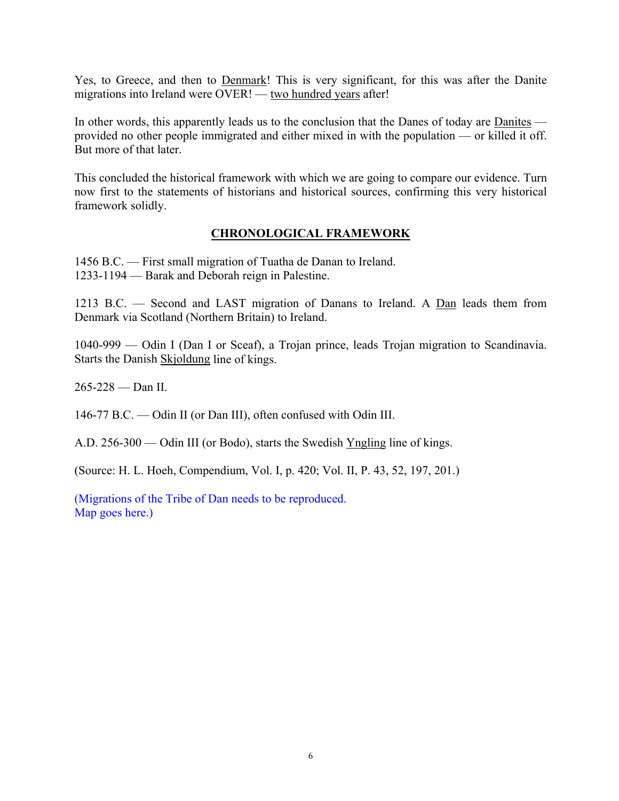Yes, to Greece, and then to Denmark! This is very significant, for this was after the Danite migrations into Ireland were OVER! — two hundred years after!

In other words, this apparently leads us to the conclusion that the Danes of today are Danites provided no other people immigrated and either mixed in with the population — or killed it off. But more of that later.

This concluded the historical framework with which we are going to compare our evidence. Turn now first to the statements of historians and historical sources, confirming this very historical framework solidly.

## **CHRONOLOGICAL FRAMEWORK**

1456 B.C. — First small migration of Tuatha de Danan to Ireland. 1233-1194 — Barak and Deborah reign in Palestine.

1213 B.C. — Second and LAST migration of Danans to Ireland. A Dan leads them from Denmark via Scotland (Northern Britain) to Ireland.

1040-999 — Odin I (Dan I or Sceaf), a Trojan prince, leads Trojan migration to Scandinavia. Starts the Danish Skjoldung line of kings.

265-228 — Dan II.

146-77 B.C. — Odin II (or Dan III), often confused with Odin III.

A.D. 256-300 — Odin III (or Bodo), starts the Swedish Yngling line of kings.

(Source: H. L. Hoeh, Compendium, Vol. I, p. 420; Vol. II, P. 43, 52, 197, 201.)

(Migrations of the Tribe of Dan needs to be reproduced. Map goes here.)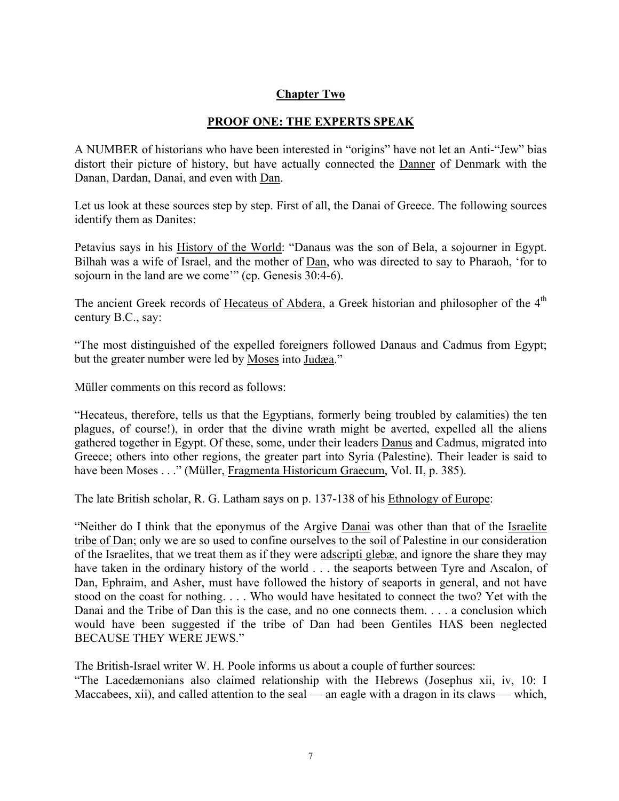# **Chapter Two**

#### **PROOF ONE: THE EXPERTS SPEAK**

A NUMBER of historians who have been interested in "origins" have not let an Anti-"Jew" bias distort their picture of history, but have actually connected the Danner of Denmark with the Danan, Dardan, Danai, and even with Dan.

Let us look at these sources step by step. First of all, the Danai of Greece. The following sources identify them as Danites:

Petavius says in his History of the World: "Danaus was the son of Bela, a sojourner in Egypt. Bilhah was a wife of Israel, and the mother of Dan, who was directed to say to Pharaoh, 'for to sojourn in the land are we come'" (cp. Genesis 30:4-6).

The ancient Greek records of Hecateus of Abdera, a Greek historian and philosopher of the 4<sup>th</sup> century B.C., say:

"The most distinguished of the expelled foreigners followed Danaus and Cadmus from Egypt; but the greater number were led by Moses into Judæa."

Müller comments on this record as follows:

"Hecateus, therefore, tells us that the Egyptians, formerly being troubled by calamities) the ten plagues, of course!), in order that the divine wrath might be averted, expelled all the aliens gathered together in Egypt. Of these, some, under their leaders Danus and Cadmus, migrated into Greece; others into other regions, the greater part into Syria (Palestine). Their leader is said to have been Moses . . ." (Müller, Fragmenta Historicum Graecum, Vol. II, p. 385).

The late British scholar, R. G. Latham says on p. 137-138 of his Ethnology of Europe:

"Neither do I think that the eponymus of the Argive Danai was other than that of the Israelite tribe of Dan; only we are so used to confine ourselves to the soil of Palestine in our consideration of the Israelites, that we treat them as if they were adscripti glebæ, and ignore the share they may have taken in the ordinary history of the world . . . the seaports between Tyre and Ascalon, of Dan, Ephraim, and Asher, must have followed the history of seaports in general, and not have stood on the coast for nothing. . . . Who would have hesitated to connect the two? Yet with the Danai and the Tribe of Dan this is the case, and no one connects them. . . . a conclusion which would have been suggested if the tribe of Dan had been Gentiles HAS been neglected BECAUSE THEY WERE JEWS."

The British-Israel writer W. H. Poole informs us about a couple of further sources:

"The Lacedæmonians also claimed relationship with the Hebrews (Josephus xii, iv, 10: I Maccabees, xii), and called attention to the seal — an eagle with a dragon in its claws — which,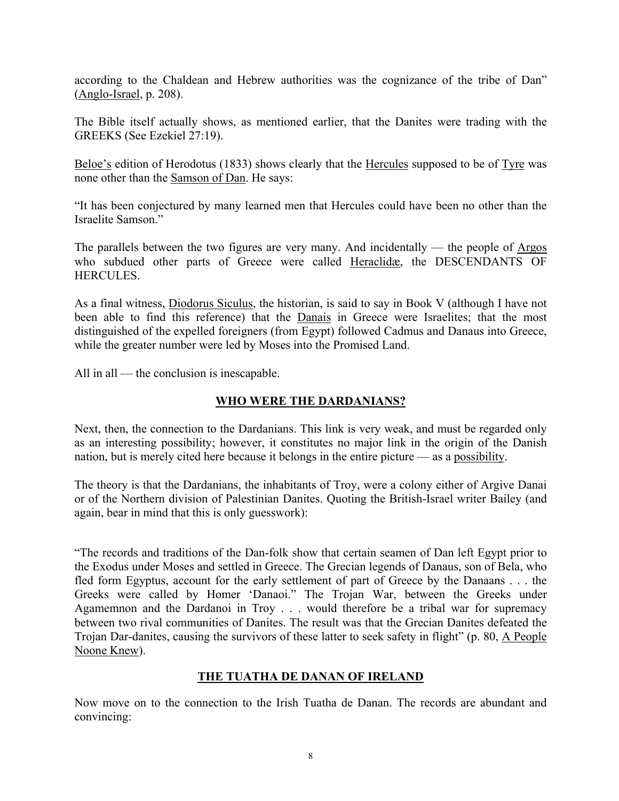according to the Chaldean and Hebrew authorities was the cognizance of the tribe of Dan" (Anglo-Israel, p. 208).

The Bible itself actually shows, as mentioned earlier, that the Danites were trading with the GREEKS (See Ezekiel 27:19).

Beloe's edition of Herodotus (1833) shows clearly that the Hercules supposed to be of Tyre was none other than the Samson of Dan. He says:

"It has been conjectured by many learned men that Hercules could have been no other than the Israelite Samson."

The parallels between the two figures are very many. And incidentally — the people of Argos who subdued other parts of Greece were called Heraclidæ, the DESCENDANTS OF **HERCULES** 

As a final witness, Diodorus Siculus, the historian, is said to say in Book V (although I have not been able to find this reference) that the Danais in Greece were Israelites; that the most distinguished of the expelled foreigners (from Egypt) followed Cadmus and Danaus into Greece, while the greater number were led by Moses into the Promised Land.

All in all — the conclusion is inescapable.

## **WHO WERE THE DARDANIANS?**

Next, then, the connection to the Dardanians. This link is very weak, and must be regarded only as an interesting possibility; however, it constitutes no major link in the origin of the Danish nation, but is merely cited here because it belongs in the entire picture — as a possibility.

The theory is that the Dardanians, the inhabitants of Troy, were a colony either of Argive Danai or of the Northern division of Palestinian Danites. Quoting the British-Israel writer Bailey (and again, bear in mind that this is only guesswork):

"The records and traditions of the Dan-folk show that certain seamen of Dan left Egypt prior to the Exodus under Moses and settled in Greece. The Grecian legends of Danaus, son of Bela, who fled form Egyptus, account for the early settlement of part of Greece by the Danaans . . . the Greeks were called by Homer 'Danaoi." The Trojan War, between the Greeks under Agamemnon and the Dardanoi in Troy . . . would therefore be a tribal war for supremacy between two rival communities of Danites. The result was that the Grecian Danites defeated the Trojan Dar-danites, causing the survivors of these latter to seek safety in flight" (p. 80, A People Noone Knew).

## **THE TUATHA DE DANAN OF IRELAND**

Now move on to the connection to the Irish Tuatha de Danan. The records are abundant and convincing: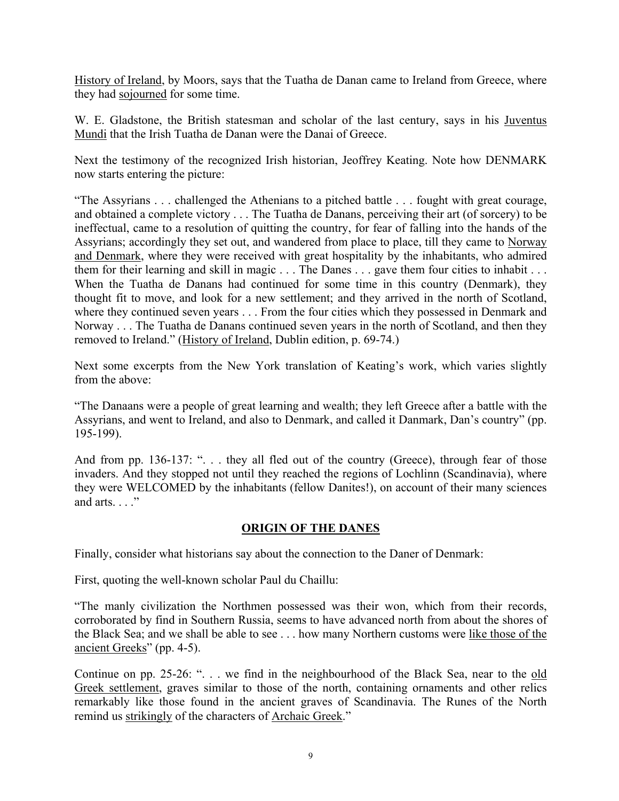History of Ireland, by Moors, says that the Tuatha de Danan came to Ireland from Greece, where they had sojourned for some time.

W. E. Gladstone, the British statesman and scholar of the last century, says in his Juventus Mundi that the Irish Tuatha de Danan were the Danai of Greece.

Next the testimony of the recognized Irish historian, Jeoffrey Keating. Note how DENMARK now starts entering the picture:

"The Assyrians . . . challenged the Athenians to a pitched battle . . . fought with great courage, and obtained a complete victory . . . The Tuatha de Danans, perceiving their art (of sorcery) to be ineffectual, came to a resolution of quitting the country, for fear of falling into the hands of the Assyrians; accordingly they set out, and wandered from place to place, till they came to Norway and Denmark, where they were received with great hospitality by the inhabitants, who admired them for their learning and skill in magic . . . The Danes . . . gave them four cities to inhabit . . . When the Tuatha de Danans had continued for some time in this country (Denmark), they thought fit to move, and look for a new settlement; and they arrived in the north of Scotland, where they continued seven years . . . From the four cities which they possessed in Denmark and Norway . . . The Tuatha de Danans continued seven years in the north of Scotland, and then they removed to Ireland." (History of Ireland, Dublin edition, p. 69-74.)

Next some excerpts from the New York translation of Keating's work, which varies slightly from the above:

"The Danaans were a people of great learning and wealth; they left Greece after a battle with the Assyrians, and went to Ireland, and also to Denmark, and called it Danmark, Dan's country" (pp. 195-199).

And from pp. 136-137: ". . . they all fled out of the country (Greece), through fear of those invaders. And they stopped not until they reached the regions of Lochlinn (Scandinavia), where they were WELCOMED by the inhabitants (fellow Danites!), on account of their many sciences and arts. . . ."

## **ORIGIN OF THE DANES**

Finally, consider what historians say about the connection to the Daner of Denmark:

First, quoting the well-known scholar Paul du Chaillu:

"The manly civilization the Northmen possessed was their won, which from their records, corroborated by find in Southern Russia, seems to have advanced north from about the shores of the Black Sea; and we shall be able to see . . . how many Northern customs were like those of the ancient Greeks" (pp. 4-5).

Continue on pp. 25-26: ". . . we find in the neighbourhood of the Black Sea, near to the old Greek settlement, graves similar to those of the north, containing ornaments and other relics remarkably like those found in the ancient graves of Scandinavia. The Runes of the North remind us strikingly of the characters of Archaic Greek."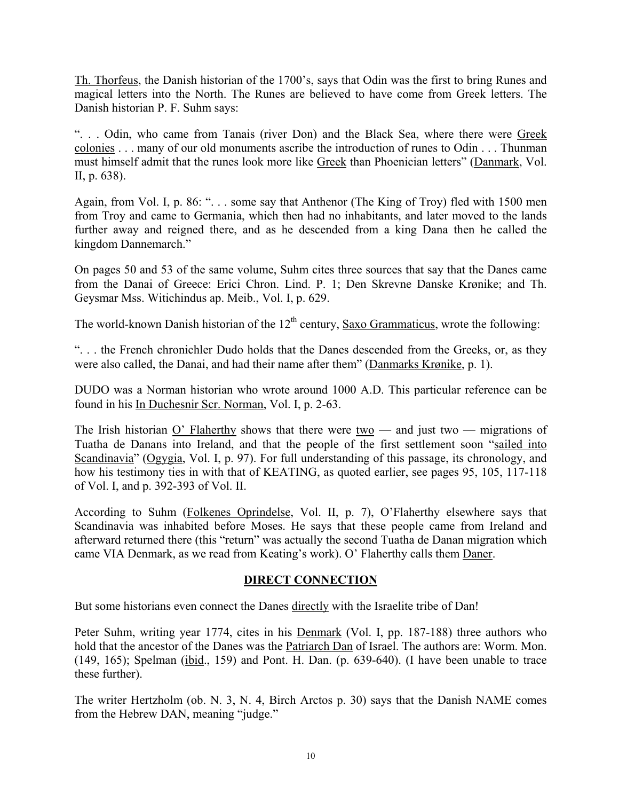Th. Thorfeus, the Danish historian of the 1700's, says that Odin was the first to bring Runes and magical letters into the North. The Runes are believed to have come from Greek letters. The Danish historian P. F. Suhm says:

". . . Odin, who came from Tanais (river Don) and the Black Sea, where there were Greek colonies . . . many of our old monuments ascribe the introduction of runes to Odin . . . Thunman must himself admit that the runes look more like Greek than Phoenician letters" (Danmark, Vol. II, p. 638).

Again, from Vol. I, p. 86: "... some say that Anthenor (The King of Troy) fled with 1500 men from Troy and came to Germania, which then had no inhabitants, and later moved to the lands further away and reigned there, and as he descended from a king Dana then he called the kingdom Dannemarch."

On pages 50 and 53 of the same volume, Suhm cites three sources that say that the Danes came from the Danai of Greece: Erici Chron. Lind. P. 1; Den Skrevne Danske Krønike; and Th. Geysmar Mss. Witichindus ap. Meib., Vol. I, p. 629.

The world-known Danish historian of the  $12<sup>th</sup>$  century, Saxo Grammaticus, wrote the following:

". . . the French chronichler Dudo holds that the Danes descended from the Greeks, or, as they were also called, the Danai, and had their name after them" (Danmarks Krønike, p. 1).

DUDO was a Norman historian who wrote around 1000 A.D. This particular reference can be found in his In Duchesnir Scr. Norman, Vol. I, p. 2-63.

The Irish historian O' Flaherthy shows that there were two — and just two — migrations of Tuatha de Danans into Ireland, and that the people of the first settlement soon "sailed into Scandinavia" (Ogygia, Vol. I, p. 97). For full understanding of this passage, its chronology, and how his testimony ties in with that of KEATING, as quoted earlier, see pages 95, 105, 117-118 of Vol. I, and p. 392-393 of Vol. II.

According to Suhm (Folkenes Oprindelse, Vol. II, p. 7), O'Flaherthy elsewhere says that Scandinavia was inhabited before Moses. He says that these people came from Ireland and afterward returned there (this "return" was actually the second Tuatha de Danan migration which came VIA Denmark, as we read from Keating's work). O' Flaherthy calls them Daner.

## **DIRECT CONNECTION**

But some historians even connect the Danes directly with the Israelite tribe of Dan!

Peter Suhm, writing year 1774, cites in his Denmark (Vol. I, pp. 187-188) three authors who hold that the ancestor of the Danes was the Patriarch Dan of Israel. The authors are: Worm. Mon. (149, 165); Spelman (ibid., 159) and Pont. H. Dan. (p. 639-640). (I have been unable to trace these further).

The writer Hertzholm (ob. N. 3, N. 4, Birch Arctos p. 30) says that the Danish NAME comes from the Hebrew DAN, meaning "judge."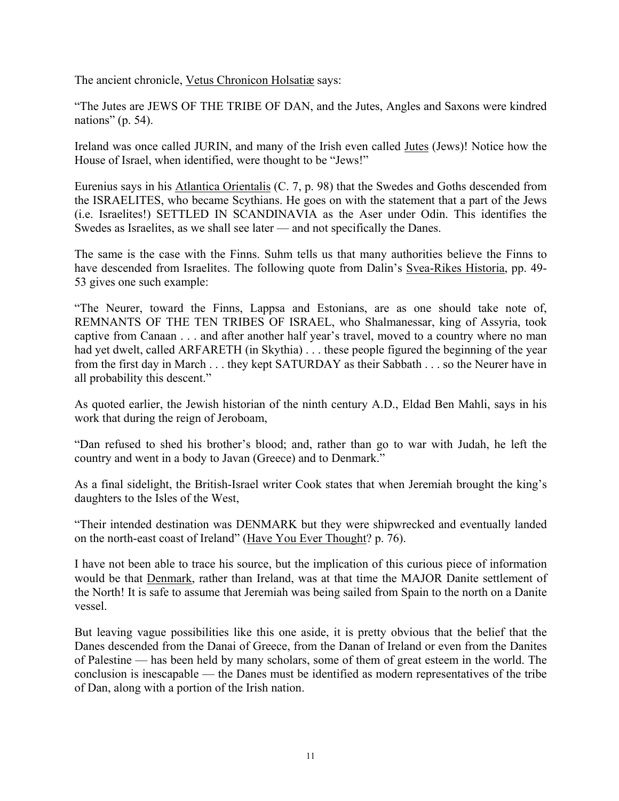The ancient chronicle, Vetus Chronicon Holsatiæ says:

"The Jutes are JEWS OF THE TRIBE OF DAN, and the Jutes, Angles and Saxons were kindred nations" (p. 54).

Ireland was once called JURIN, and many of the Irish even called Jutes (Jews)! Notice how the House of Israel, when identified, were thought to be "Jews!"

Eurenius says in his Atlantica Orientalis (C. 7, p. 98) that the Swedes and Goths descended from the ISRAELITES, who became Scythians. He goes on with the statement that a part of the Jews (i.e. Israelites!) SETTLED IN SCANDINAVIA as the Aser under Odin. This identifies the Swedes as Israelites, as we shall see later — and not specifically the Danes.

The same is the case with the Finns. Suhm tells us that many authorities believe the Finns to have descended from Israelites. The following quote from Dalin's Svea-Rikes Historia, pp. 49- 53 gives one such example:

"The Neurer, toward the Finns, Lappsa and Estonians, are as one should take note of, REMNANTS OF THE TEN TRIBES OF ISRAEL, who Shalmanessar, king of Assyria, took captive from Canaan . . . and after another half year's travel, moved to a country where no man had yet dwelt, called ARFARETH (in Skythia) . . . these people figured the beginning of the year from the first day in March . . . they kept SATURDAY as their Sabbath . . . so the Neurer have in all probability this descent."

As quoted earlier, the Jewish historian of the ninth century A.D., Eldad Ben Mahli, says in his work that during the reign of Jeroboam,

"Dan refused to shed his brother's blood; and, rather than go to war with Judah, he left the country and went in a body to Javan (Greece) and to Denmark."

As a final sidelight, the British-Israel writer Cook states that when Jeremiah brought the king's daughters to the Isles of the West,

"Their intended destination was DENMARK but they were shipwrecked and eventually landed on the north-east coast of Ireland" (Have You Ever Thought? p. 76).

I have not been able to trace his source, but the implication of this curious piece of information would be that Denmark, rather than Ireland, was at that time the MAJOR Danite settlement of the North! It is safe to assume that Jeremiah was being sailed from Spain to the north on a Danite vessel.

But leaving vague possibilities like this one aside, it is pretty obvious that the belief that the Danes descended from the Danai of Greece, from the Danan of Ireland or even from the Danites of Palestine — has been held by many scholars, some of them of great esteem in the world. The conclusion is inescapable — the Danes must be identified as modern representatives of the tribe of Dan, along with a portion of the Irish nation.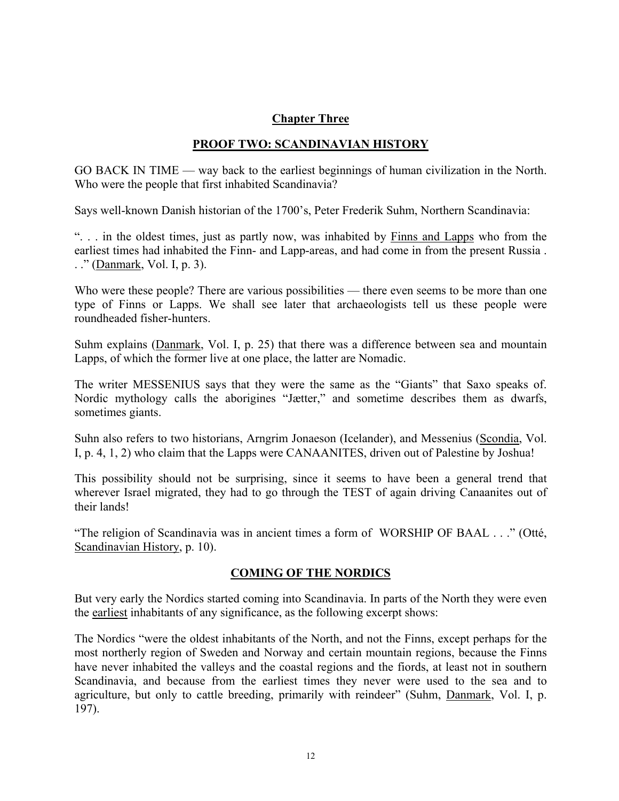## **Chapter Three**

# **PROOF TWO: SCANDINAVIAN HISTORY**

GO BACK IN TIME — way back to the earliest beginnings of human civilization in the North. Who were the people that first inhabited Scandinavia?

Says well-known Danish historian of the 1700's, Peter Frederik Suhm, Northern Scandinavia:

". . . in the oldest times, just as partly now, was inhabited by Finns and Lapps who from the earliest times had inhabited the Finn- and Lapp-areas, and had come in from the present Russia . . ." (Danmark, Vol. I, p. 3).

Who were these people? There are various possibilities — there even seems to be more than one type of Finns or Lapps. We shall see later that archaeologists tell us these people were roundheaded fisher-hunters.

Suhm explains (Danmark, Vol. I, p. 25) that there was a difference between sea and mountain Lapps, of which the former live at one place, the latter are Nomadic.

The writer MESSENIUS says that they were the same as the "Giants" that Saxo speaks of. Nordic mythology calls the aborigines "Jætter," and sometime describes them as dwarfs, sometimes giants.

Suhn also refers to two historians, Arngrim Jonaeson (Icelander), and Messenius (Scondia, Vol. I, p. 4, 1, 2) who claim that the Lapps were CANAANITES, driven out of Palestine by Joshua!

This possibility should not be surprising, since it seems to have been a general trend that wherever Israel migrated, they had to go through the TEST of again driving Canaanites out of their lands!

"The religion of Scandinavia was in ancient times a form of WORSHIP OF BAAL . . ." (Otté, Scandinavian History, p. 10).

## **COMING OF THE NORDICS**

But very early the Nordics started coming into Scandinavia. In parts of the North they were even the earliest inhabitants of any significance, as the following excerpt shows:

The Nordics "were the oldest inhabitants of the North, and not the Finns, except perhaps for the most northerly region of Sweden and Norway and certain mountain regions, because the Finns have never inhabited the valleys and the coastal regions and the fiords, at least not in southern Scandinavia, and because from the earliest times they never were used to the sea and to agriculture, but only to cattle breeding, primarily with reindeer" (Suhm, Danmark, Vol. I, p. 197).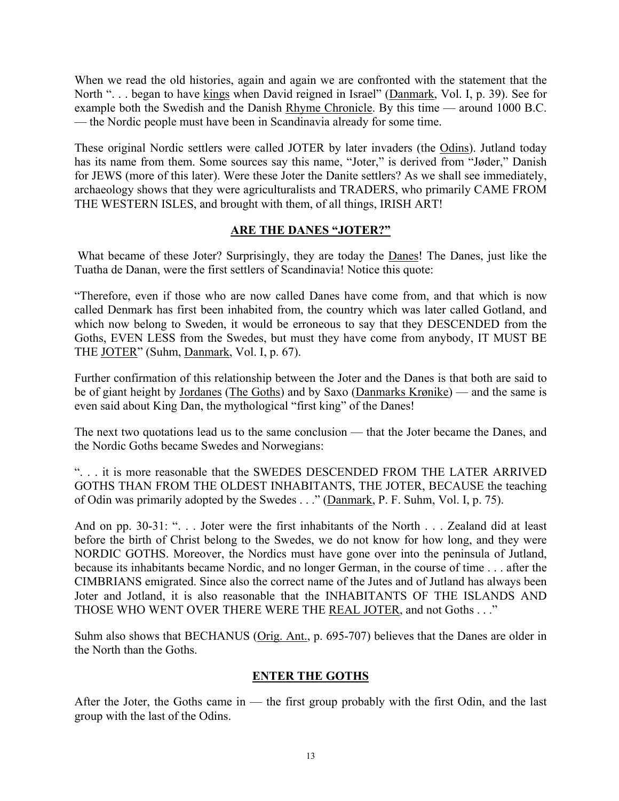When we read the old histories, again and again we are confronted with the statement that the North ". . . began to have kings when David reigned in Israel" (Danmark, Vol. I, p. 39). See for example both the Swedish and the Danish Rhyme Chronicle. By this time — around 1000 B.C. — the Nordic people must have been in Scandinavia already for some time.

These original Nordic settlers were called JOTER by later invaders (the Odins). Jutland today has its name from them. Some sources say this name, "Joter," is derived from "Jøder," Danish for JEWS (more of this later). Were these Joter the Danite settlers? As we shall see immediately, archaeology shows that they were agriculturalists and TRADERS, who primarily CAME FROM THE WESTERN ISLES, and brought with them, of all things, IRISH ART!

## **ARE THE DANES "JOTER?"**

What became of these Joter? Surprisingly, they are today the Danes! The Danes, just like the Tuatha de Danan, were the first settlers of Scandinavia! Notice this quote:

"Therefore, even if those who are now called Danes have come from, and that which is now called Denmark has first been inhabited from, the country which was later called Gotland, and which now belong to Sweden, it would be erroneous to say that they DESCENDED from the Goths, EVEN LESS from the Swedes, but must they have come from anybody, IT MUST BE THE JOTER" (Suhm, Danmark, Vol. I, p. 67).

Further confirmation of this relationship between the Joter and the Danes is that both are said to be of giant height by Jordanes (The Goths) and by Saxo (Danmarks Krønike) — and the same is even said about King Dan, the mythological "first king" of the Danes!

The next two quotations lead us to the same conclusion — that the Joter became the Danes, and the Nordic Goths became Swedes and Norwegians:

". . . it is more reasonable that the SWEDES DESCENDED FROM THE LATER ARRIVED GOTHS THAN FROM THE OLDEST INHABITANTS, THE JOTER, BECAUSE the teaching of Odin was primarily adopted by the Swedes . . ." (Danmark, P. F. Suhm, Vol. I, p. 75).

And on pp. 30-31: "... Joter were the first inhabitants of the North ... Zealand did at least before the birth of Christ belong to the Swedes, we do not know for how long, and they were NORDIC GOTHS. Moreover, the Nordics must have gone over into the peninsula of Jutland, because its inhabitants became Nordic, and no longer German, in the course of time . . . after the CIMBRIANS emigrated. Since also the correct name of the Jutes and of Jutland has always been Joter and Jotland, it is also reasonable that the INHABITANTS OF THE ISLANDS AND THOSE WHO WENT OVER THERE WERE THE REAL JOTER, and not Goths . . ."

Suhm also shows that BECHANUS (Orig. Ant., p. 695-707) believes that the Danes are older in the North than the Goths.

## **ENTER THE GOTHS**

After the Joter, the Goths came in — the first group probably with the first Odin, and the last group with the last of the Odins.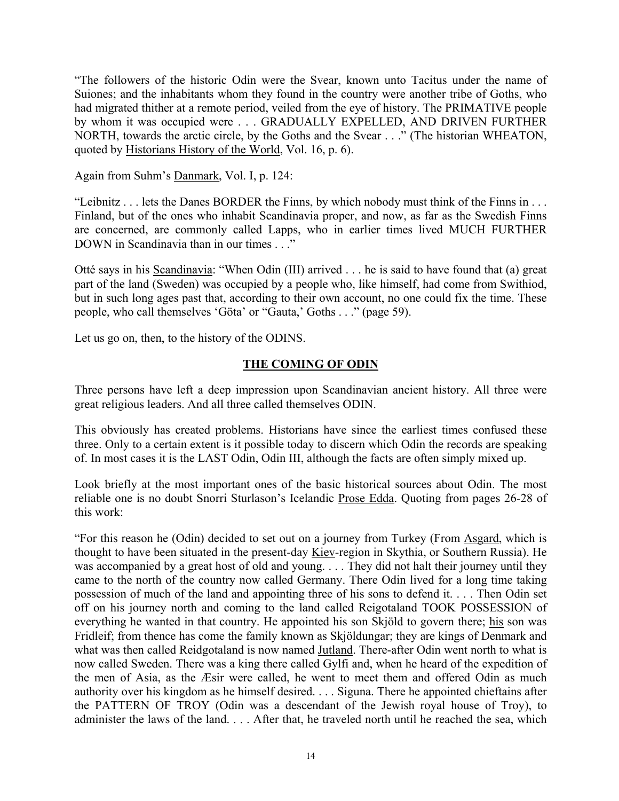"The followers of the historic Odin were the Svear, known unto Tacitus under the name of Suiones; and the inhabitants whom they found in the country were another tribe of Goths, who had migrated thither at a remote period, veiled from the eye of history. The PRIMATIVE people by whom it was occupied were . . . GRADUALLY EXPELLED, AND DRIVEN FURTHER NORTH, towards the arctic circle, by the Goths and the Svear . . ." (The historian WHEATON, quoted by Historians History of the World, Vol. 16, p. 6).

Again from Suhm's Danmark, Vol. I, p. 124:

"Leibnitz . . . lets the Danes BORDER the Finns, by which nobody must think of the Finns in . . . Finland, but of the ones who inhabit Scandinavia proper, and now, as far as the Swedish Finns are concerned, are commonly called Lapps, who in earlier times lived MUCH FURTHER DOWN in Scandinavia than in our times . . ."

Otté says in his Scandinavia: "When Odin (III) arrived . . . he is said to have found that (a) great part of the land (Sweden) was occupied by a people who, like himself, had come from Swithiod, but in such long ages past that, according to their own account, no one could fix the time. These people, who call themselves 'Göta' or "Gauta,' Goths . . ." (page 59).

Let us go on, then, to the history of the ODINS.

## **THE COMING OF ODIN**

Three persons have left a deep impression upon Scandinavian ancient history. All three were great religious leaders. And all three called themselves ODIN.

This obviously has created problems. Historians have since the earliest times confused these three. Only to a certain extent is it possible today to discern which Odin the records are speaking of. In most cases it is the LAST Odin, Odin III, although the facts are often simply mixed up.

Look briefly at the most important ones of the basic historical sources about Odin. The most reliable one is no doubt Snorri Sturlason's Icelandic Prose Edda. Quoting from pages 26-28 of this work:

"For this reason he (Odin) decided to set out on a journey from Turkey (From Asgard, which is thought to have been situated in the present-day Kiev-region in Skythia, or Southern Russia). He was accompanied by a great host of old and young. . . . They did not halt their journey until they came to the north of the country now called Germany. There Odin lived for a long time taking possession of much of the land and appointing three of his sons to defend it. . . . Then Odin set off on his journey north and coming to the land called Reigotaland TOOK POSSESSION of everything he wanted in that country. He appointed his son Skjöld to govern there; his son was Fridleif; from thence has come the family known as Skjöldungar; they are kings of Denmark and what was then called Reidgotaland is now named Jutland. There-after Odin went north to what is now called Sweden. There was a king there called Gylfi and, when he heard of the expedition of the men of Asia, as the Æsir were called, he went to meet them and offered Odin as much authority over his kingdom as he himself desired. . . . Siguna. There he appointed chieftains after the PATTERN OF TROY (Odin was a descendant of the Jewish royal house of Troy), to administer the laws of the land. . . . After that, he traveled north until he reached the sea, which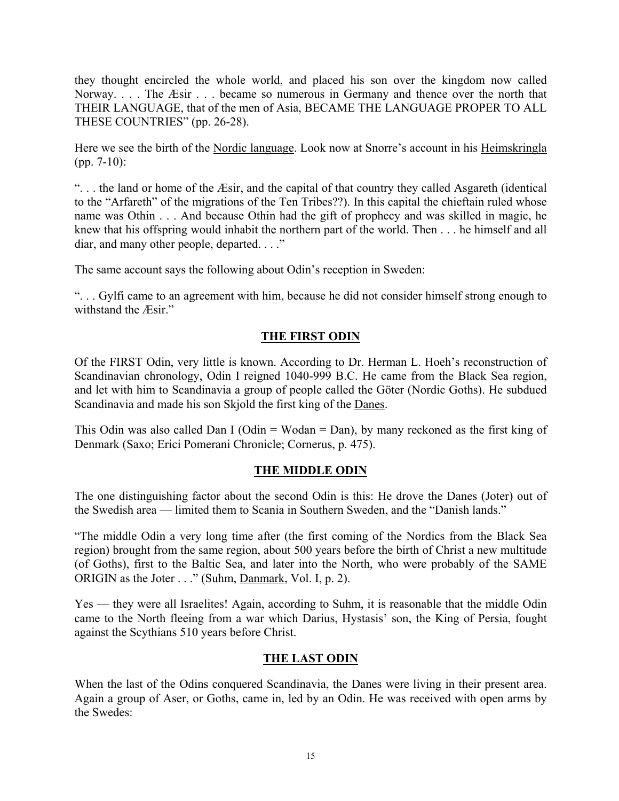they thought encircled the whole world, and placed his son over the kingdom now called Norway. . . . The *Æsir* . . . became so numerous in Germany and thence over the north that THEIR LANGUAGE, that of the men of Asia, BECAME THE LANGUAGE PROPER TO ALL THESE COUNTRIES" (pp. 26-28).

Here we see the birth of the Nordic language. Look now at Snorre's account in his Heimskringla (pp. 7-10):

". . . the land or home of the Æsir, and the capital of that country they called Asgareth (identical to the "Arfareth" of the migrations of the Ten Tribes??). In this capital the chieftain ruled whose name was Othin . . . And because Othin had the gift of prophecy and was skilled in magic, he knew that his offspring would inhabit the northern part of the world. Then . . . he himself and all diar, and many other people, departed. . . ."

The same account says the following about Odin's reception in Sweden:

". . . Gylfi came to an agreement with him, because he did not consider himself strong enough to withstand the Æsir."

# **THE FIRST ODIN**

Of the FIRST Odin, very little is known. According to Dr. Herman L. Hoeh's reconstruction of Scandinavian chronology, Odin I reigned 1040-999 B.C. He came from the Black Sea region, and let with him to Scandinavia a group of people called the Göter (Nordic Goths). He subdued Scandinavia and made his son Skjold the first king of the Danes.

This Odin was also called Dan I (Odin = Wodan = Dan), by many reckoned as the first king of Denmark (Saxo; Erici Pomerani Chronicle; Cornerus, p. 475).

## **THE MIDDLE ODIN**

The one distinguishing factor about the second Odin is this: He drove the Danes (Joter) out of the Swedish area — limited them to Scania in Southern Sweden, and the "Danish lands."

"The middle Odin a very long time after (the first coming of the Nordics from the Black Sea region) brought from the same region, about 500 years before the birth of Christ a new multitude (of Goths), first to the Baltic Sea, and later into the North, who were probably of the SAME ORIGIN as the Joter . . ." (Suhm, Danmark, Vol. I, p. 2).

Yes — they were all Israelites! Again, according to Suhm, it is reasonable that the middle Odin came to the North fleeing from a war which Darius, Hystasis' son, the King of Persia, fought against the Scythians 510 years before Christ.

## **THE LAST ODIN**

When the last of the Odins conquered Scandinavia, the Danes were living in their present area. Again a group of Aser, or Goths, came in, led by an Odin. He was received with open arms by the Swedes: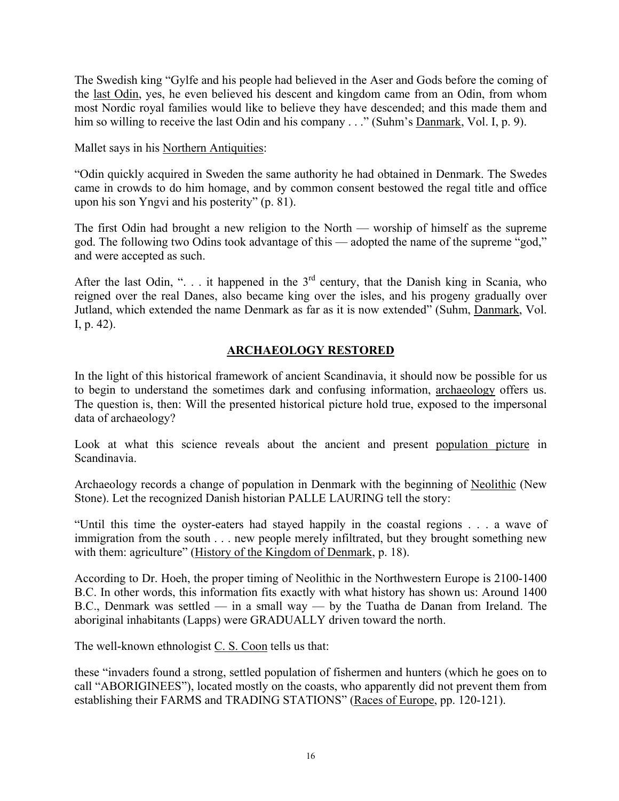The Swedish king "Gylfe and his people had believed in the Aser and Gods before the coming of the last Odin, yes, he even believed his descent and kingdom came from an Odin, from whom most Nordic royal families would like to believe they have descended; and this made them and him so willing to receive the last Odin and his company . . ." (Suhm's <u>Danmark</u>, Vol. I, p. 9).

Mallet says in his Northern Antiquities:

"Odin quickly acquired in Sweden the same authority he had obtained in Denmark. The Swedes came in crowds to do him homage, and by common consent bestowed the regal title and office upon his son Yngvi and his posterity" (p. 81).

The first Odin had brought a new religion to the North — worship of himself as the supreme god. The following two Odins took advantage of this — adopted the name of the supreme "god," and were accepted as such.

After the last Odin, " $\ldots$  it happened in the 3<sup>rd</sup> century, that the Danish king in Scania, who reigned over the real Danes, also became king over the isles, and his progeny gradually over Jutland, which extended the name Denmark as far as it is now extended" (Suhm, Danmark, Vol. I, p. 42).

# **ARCHAEOLOGY RESTORED**

In the light of this historical framework of ancient Scandinavia, it should now be possible for us to begin to understand the sometimes dark and confusing information, archaeology offers us. The question is, then: Will the presented historical picture hold true, exposed to the impersonal data of archaeology?

Look at what this science reveals about the ancient and present population picture in Scandinavia.

Archaeology records a change of population in Denmark with the beginning of Neolithic (New Stone). Let the recognized Danish historian PALLE LAURING tell the story:

"Until this time the oyster-eaters had stayed happily in the coastal regions . . . a wave of immigration from the south . . . new people merely infiltrated, but they brought something new with them: agriculture" (History of the Kingdom of Denmark, p. 18).

According to Dr. Hoeh, the proper timing of Neolithic in the Northwestern Europe is 2100-1400 B.C. In other words, this information fits exactly with what history has shown us: Around 1400 B.C., Denmark was settled — in a small way — by the Tuatha de Danan from Ireland. The aboriginal inhabitants (Lapps) were GRADUALLY driven toward the north.

The well-known ethnologist C. S. Coon tells us that:

these "invaders found a strong, settled population of fishermen and hunters (which he goes on to call "ABORIGINEES"), located mostly on the coasts, who apparently did not prevent them from establishing their FARMS and TRADING STATIONS" (Races of Europe, pp. 120-121).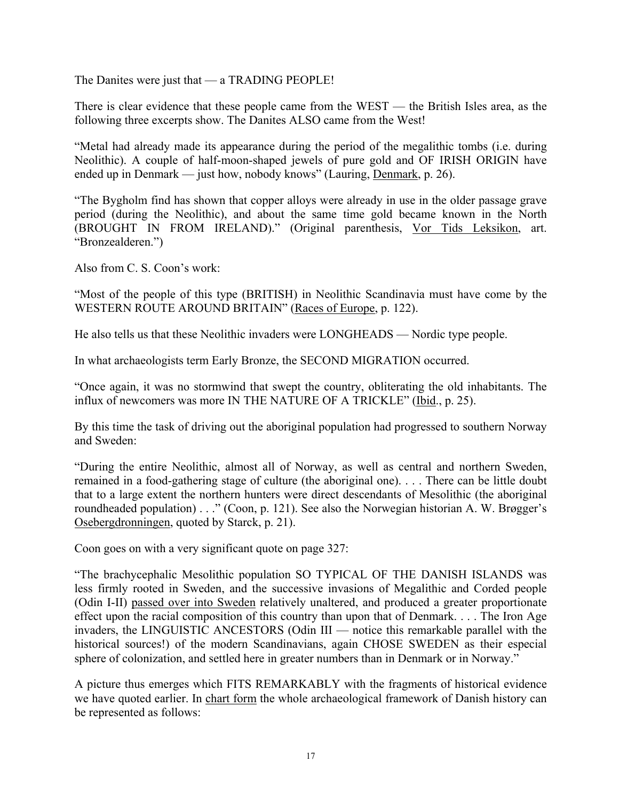The Danites were just that — a TRADING PEOPLE!

There is clear evidence that these people came from the WEST — the British Isles area, as the following three excerpts show. The Danites ALSO came from the West!

"Metal had already made its appearance during the period of the megalithic tombs (i.e. during Neolithic). A couple of half-moon-shaped jewels of pure gold and OF IRISH ORIGIN have ended up in Denmark — just how, nobody knows" (Lauring, Denmark, p. 26).

"The Bygholm find has shown that copper alloys were already in use in the older passage grave period (during the Neolithic), and about the same time gold became known in the North (BROUGHT IN FROM IRELAND)." (Original parenthesis, Vor Tids Leksikon, art. "Bronzealderen.")

Also from C. S. Coon's work:

"Most of the people of this type (BRITISH) in Neolithic Scandinavia must have come by the WESTERN ROUTE AROUND BRITAIN" (Races of Europe, p. 122).

He also tells us that these Neolithic invaders were LONGHEADS — Nordic type people.

In what archaeologists term Early Bronze, the SECOND MIGRATION occurred.

"Once again, it was no stormwind that swept the country, obliterating the old inhabitants. The influx of newcomers was more IN THE NATURE OF A TRICKLE" (Ibid., p. 25).

By this time the task of driving out the aboriginal population had progressed to southern Norway and Sweden:

"During the entire Neolithic, almost all of Norway, as well as central and northern Sweden, remained in a food-gathering stage of culture (the aboriginal one). . . . There can be little doubt that to a large extent the northern hunters were direct descendants of Mesolithic (the aboriginal roundheaded population) . . ." (Coon, p. 121). See also the Norwegian historian A. W. Brøgger's Osebergdronningen, quoted by Starck, p. 21).

Coon goes on with a very significant quote on page 327:

"The brachycephalic Mesolithic population SO TYPICAL OF THE DANISH ISLANDS was less firmly rooted in Sweden, and the successive invasions of Megalithic and Corded people (Odin I-II) passed over into Sweden relatively unaltered, and produced a greater proportionate effect upon the racial composition of this country than upon that of Denmark. . . . The Iron Age invaders, the LINGUISTIC ANCESTORS (Odin III — notice this remarkable parallel with the historical sources!) of the modern Scandinavians, again CHOSE SWEDEN as their especial sphere of colonization, and settled here in greater numbers than in Denmark or in Norway."

A picture thus emerges which FITS REMARKABLY with the fragments of historical evidence we have quoted earlier. In chart form the whole archaeological framework of Danish history can be represented as follows: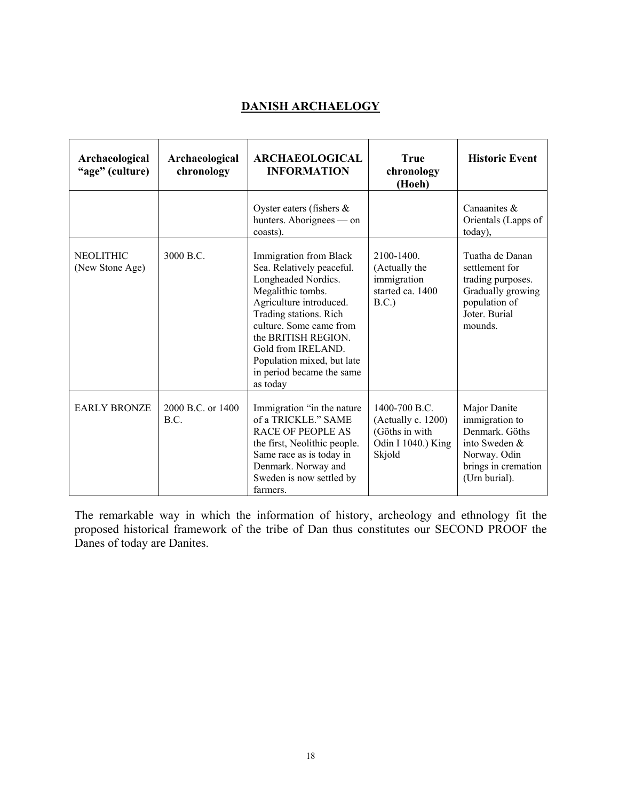# **DANISH ARCHAELOGY**

| Archaeological<br>"age" (culture)   | Archaeological<br>chronology | <b>ARCHAEOLOGICAL</b><br><b>INFORMATION</b>                                                                                                                                                                                                                                                         | <b>True</b><br>chronology<br>(Hoeh)                                                   | <b>Historic Event</b>                                                                                                     |
|-------------------------------------|------------------------------|-----------------------------------------------------------------------------------------------------------------------------------------------------------------------------------------------------------------------------------------------------------------------------------------------------|---------------------------------------------------------------------------------------|---------------------------------------------------------------------------------------------------------------------------|
|                                     |                              | Oyster eaters (fishers $\&$<br>hunters. Aborignees — on<br>coasts).                                                                                                                                                                                                                                 |                                                                                       | Canaanites $\&$<br>Orientals (Lapps of<br>today),                                                                         |
| <b>NEOLITHIC</b><br>(New Stone Age) | 3000 B.C.                    | Immigration from Black<br>Sea. Relatively peaceful.<br>Longheaded Nordics.<br>Megalithic tombs.<br>Agriculture introduced.<br>Trading stations. Rich<br>culture. Some came from<br>the BRITISH REGION.<br>Gold from IRELAND.<br>Population mixed, but late<br>in period became the same<br>as today | 2100-1400.<br>(Actually the<br>immigration<br>started ca. 1400<br>B.C.                | Tuatha de Danan<br>settlement for<br>trading purposes.<br>Gradually growing<br>population of<br>Joter. Burial<br>mounds.  |
| <b>EARLY BRONZE</b>                 | 2000 B.C. or 1400<br>B.C.    | Immigration "in the nature<br>of a TRICKLE." SAME<br><b>RACE OF PEOPLE AS</b><br>the first, Neolithic people.<br>Same race as is today in<br>Denmark. Norway and<br>Sweden is now settled by<br>farmers.                                                                                            | 1400-700 B.C.<br>(Actually c. 1200)<br>(Göths in with<br>Odin I 1040.) King<br>Skjold | Major Danite<br>immigration to<br>Denmark. Göths<br>into Sweden &<br>Norway. Odin<br>brings in cremation<br>(Urn burial). |

The remarkable way in which the information of history, archeology and ethnology fit the proposed historical framework of the tribe of Dan thus constitutes our SECOND PROOF the Danes of today are Danites.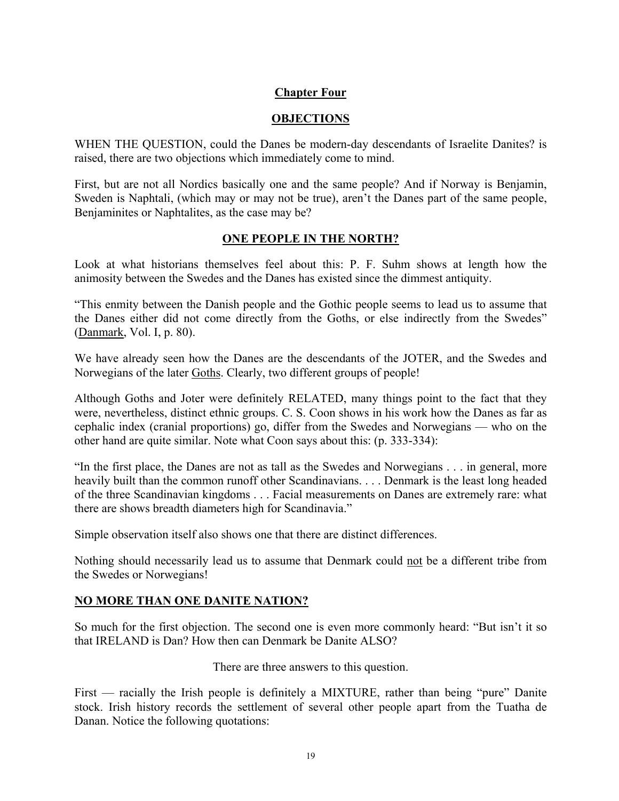#### **Chapter Four**

#### **OBJECTIONS**

WHEN THE QUESTION, could the Danes be modern-day descendants of Israelite Danites? is raised, there are two objections which immediately come to mind.

First, but are not all Nordics basically one and the same people? And if Norway is Benjamin, Sweden is Naphtali, (which may or may not be true), aren't the Danes part of the same people, Benjaminites or Naphtalites, as the case may be?

#### **ONE PEOPLE IN THE NORTH?**

Look at what historians themselves feel about this: P. F. Suhm shows at length how the animosity between the Swedes and the Danes has existed since the dimmest antiquity.

"This enmity between the Danish people and the Gothic people seems to lead us to assume that the Danes either did not come directly from the Goths, or else indirectly from the Swedes" (Danmark, Vol. I, p. 80).

We have already seen how the Danes are the descendants of the JOTER, and the Swedes and Norwegians of the later Goths. Clearly, two different groups of people!

Although Goths and Joter were definitely RELATED, many things point to the fact that they were, nevertheless, distinct ethnic groups. C. S. Coon shows in his work how the Danes as far as cephalic index (cranial proportions) go, differ from the Swedes and Norwegians — who on the other hand are quite similar. Note what Coon says about this: (p. 333-334):

"In the first place, the Danes are not as tall as the Swedes and Norwegians . . . in general, more heavily built than the common runoff other Scandinavians. . . . Denmark is the least long headed of the three Scandinavian kingdoms . . . Facial measurements on Danes are extremely rare: what there are shows breadth diameters high for Scandinavia."

Simple observation itself also shows one that there are distinct differences.

Nothing should necessarily lead us to assume that Denmark could not be a different tribe from the Swedes or Norwegians!

## **NO MORE THAN ONE DANITE NATION?**

So much for the first objection. The second one is even more commonly heard: "But isn't it so that IRELAND is Dan? How then can Denmark be Danite ALSO?

There are three answers to this question.

First — racially the Irish people is definitely a MIXTURE, rather than being "pure" Danite stock. Irish history records the settlement of several other people apart from the Tuatha de Danan. Notice the following quotations: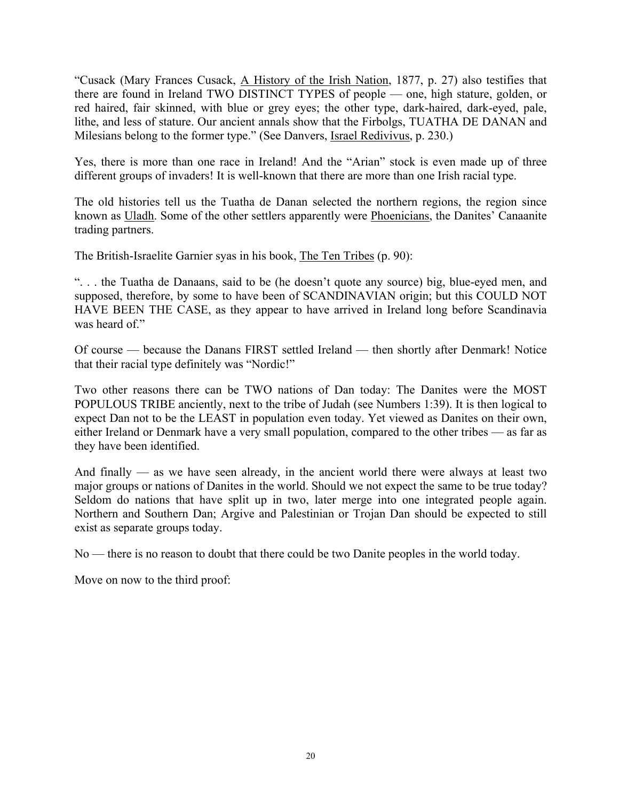"Cusack (Mary Frances Cusack, A History of the Irish Nation, 1877, p. 27) also testifies that there are found in Ireland TWO DISTINCT TYPES of people — one, high stature, golden, or red haired, fair skinned, with blue or grey eyes; the other type, dark-haired, dark-eyed, pale, lithe, and less of stature. Our ancient annals show that the Firbolgs, TUATHA DE DANAN and Milesians belong to the former type." (See Danvers, Israel Redivivus, p. 230.)

Yes, there is more than one race in Ireland! And the "Arian" stock is even made up of three different groups of invaders! It is well-known that there are more than one Irish racial type.

The old histories tell us the Tuatha de Danan selected the northern regions, the region since known as Uladh. Some of the other settlers apparently were Phoenicians, the Danites' Canaanite trading partners.

The British-Israelite Garnier syas in his book, The Ten Tribes (p. 90):

". . . the Tuatha de Danaans, said to be (he doesn't quote any source) big, blue-eyed men, and supposed, therefore, by some to have been of SCANDINAVIAN origin; but this COULD NOT HAVE BEEN THE CASE, as they appear to have arrived in Ireland long before Scandinavia was heard of."

Of course — because the Danans FIRST settled Ireland — then shortly after Denmark! Notice that their racial type definitely was "Nordic!"

Two other reasons there can be TWO nations of Dan today: The Danites were the MOST POPULOUS TRIBE anciently, next to the tribe of Judah (see Numbers 1:39). It is then logical to expect Dan not to be the LEAST in population even today. Yet viewed as Danites on their own, either Ireland or Denmark have a very small population, compared to the other tribes — as far as they have been identified.

And finally — as we have seen already, in the ancient world there were always at least two major groups or nations of Danites in the world. Should we not expect the same to be true today? Seldom do nations that have split up in two, later merge into one integrated people again. Northern and Southern Dan; Argive and Palestinian or Trojan Dan should be expected to still exist as separate groups today.

No — there is no reason to doubt that there could be two Danite peoples in the world today.

Move on now to the third proof: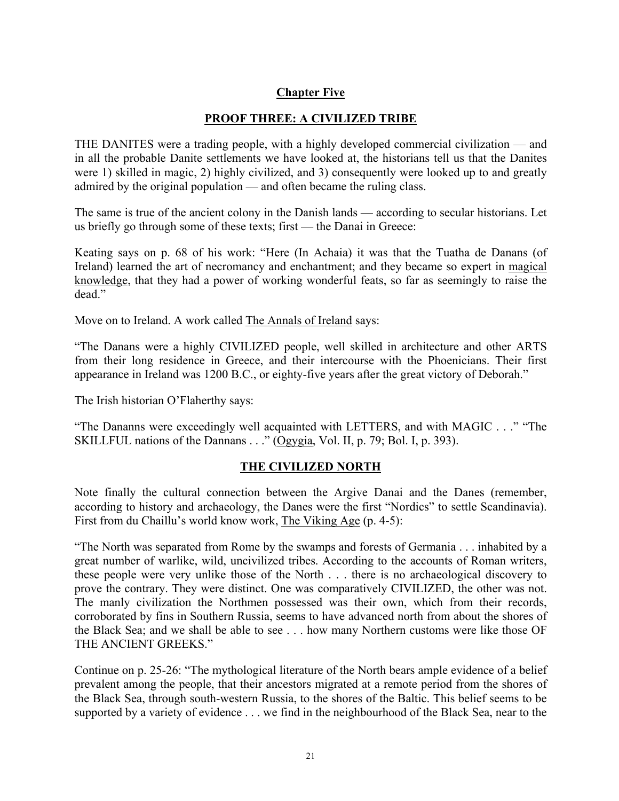# **Chapter Five**

## **PROOF THREE: A CIVILIZED TRIBE**

THE DANITES were a trading people, with a highly developed commercial civilization — and in all the probable Danite settlements we have looked at, the historians tell us that the Danites were 1) skilled in magic, 2) highly civilized, and 3) consequently were looked up to and greatly admired by the original population — and often became the ruling class.

The same is true of the ancient colony in the Danish lands — according to secular historians. Let us briefly go through some of these texts; first — the Danai in Greece:

Keating says on p. 68 of his work: "Here (In Achaia) it was that the Tuatha de Danans (of Ireland) learned the art of necromancy and enchantment; and they became so expert in magical knowledge, that they had a power of working wonderful feats, so far as seemingly to raise the dead."

Move on to Ireland. A work called **The Annals of Ireland** says:

"The Danans were a highly CIVILIZED people, well skilled in architecture and other ARTS from their long residence in Greece, and their intercourse with the Phoenicians. Their first appearance in Ireland was 1200 B.C., or eighty-five years after the great victory of Deborah."

The Irish historian O'Flaherthy says:

"The Dananns were exceedingly well acquainted with LETTERS, and with MAGIC . . ." "The SKILLFUL nations of the Dannans . . ." (Ogygia, Vol. II, p. 79; Bol. I, p. 393).

#### **THE CIVILIZED NORTH**

Note finally the cultural connection between the Argive Danai and the Danes (remember, according to history and archaeology, the Danes were the first "Nordics" to settle Scandinavia). First from du Chaillu's world know work, The Viking Age (p. 4-5):

"The North was separated from Rome by the swamps and forests of Germania . . . inhabited by a great number of warlike, wild, uncivilized tribes. According to the accounts of Roman writers, these people were very unlike those of the North . . . there is no archaeological discovery to prove the contrary. They were distinct. One was comparatively CIVILIZED, the other was not. The manly civilization the Northmen possessed was their own, which from their records, corroborated by fins in Southern Russia, seems to have advanced north from about the shores of the Black Sea; and we shall be able to see . . . how many Northern customs were like those OF THE ANCIENT GREEKS."

Continue on p. 25-26: "The mythological literature of the North bears ample evidence of a belief prevalent among the people, that their ancestors migrated at a remote period from the shores of the Black Sea, through south-western Russia, to the shores of the Baltic. This belief seems to be supported by a variety of evidence . . . we find in the neighbourhood of the Black Sea, near to the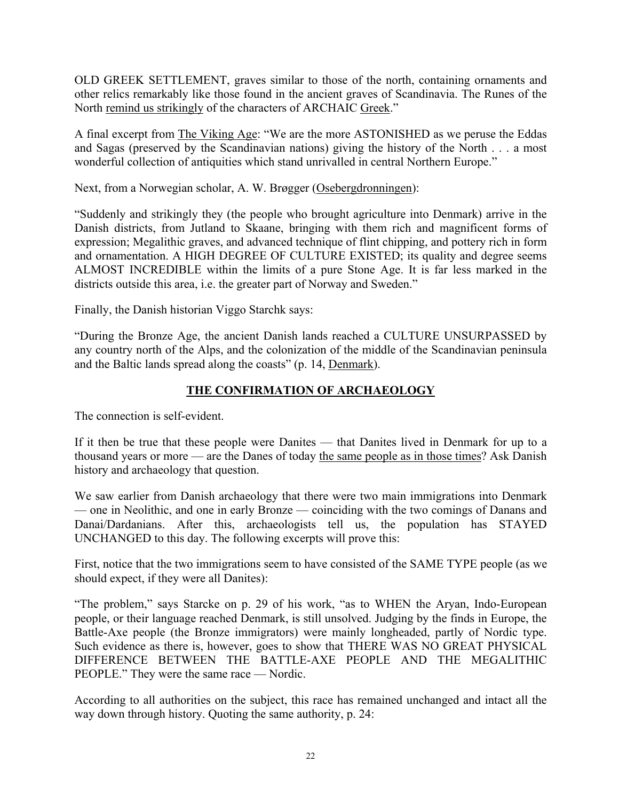OLD GREEK SETTLEMENT, graves similar to those of the north, containing ornaments and other relics remarkably like those found in the ancient graves of Scandinavia. The Runes of the North remind us strikingly of the characters of ARCHAIC Greek."

A final excerpt from The Viking Age: "We are the more ASTONISHED as we peruse the Eddas and Sagas (preserved by the Scandinavian nations) giving the history of the North . . . a most wonderful collection of antiquities which stand unrivalled in central Northern Europe."

Next, from a Norwegian scholar, A. W. Brøgger (Osebergdronningen):

"Suddenly and strikingly they (the people who brought agriculture into Denmark) arrive in the Danish districts, from Jutland to Skaane, bringing with them rich and magnificent forms of expression; Megalithic graves, and advanced technique of flint chipping, and pottery rich in form and ornamentation. A HIGH DEGREE OF CULTURE EXISTED; its quality and degree seems ALMOST INCREDIBLE within the limits of a pure Stone Age. It is far less marked in the districts outside this area, i.e. the greater part of Norway and Sweden."

Finally, the Danish historian Viggo Starchk says:

"During the Bronze Age, the ancient Danish lands reached a CULTURE UNSURPASSED by any country north of the Alps, and the colonization of the middle of the Scandinavian peninsula and the Baltic lands spread along the coasts" (p. 14, Denmark).

# **THE CONFIRMATION OF ARCHAEOLOGY**

The connection is self-evident.

If it then be true that these people were Danites — that Danites lived in Denmark for up to a thousand years or more — are the Danes of today the same people as in those times? Ask Danish history and archaeology that question.

We saw earlier from Danish archaeology that there were two main immigrations into Denmark — one in Neolithic, and one in early Bronze — coinciding with the two comings of Danans and Danai/Dardanians. After this, archaeologists tell us, the population has STAYED UNCHANGED to this day. The following excerpts will prove this:

First, notice that the two immigrations seem to have consisted of the SAME TYPE people (as we should expect, if they were all Danites):

"The problem," says Starcke on p. 29 of his work, "as to WHEN the Aryan, Indo-European people, or their language reached Denmark, is still unsolved. Judging by the finds in Europe, the Battle-Axe people (the Bronze immigrators) were mainly longheaded, partly of Nordic type. Such evidence as there is, however, goes to show that THERE WAS NO GREAT PHYSICAL DIFFERENCE BETWEEN THE BATTLE-AXE PEOPLE AND THE MEGALITHIC PEOPLE." They were the same race — Nordic.

According to all authorities on the subject, this race has remained unchanged and intact all the way down through history. Quoting the same authority, p. 24: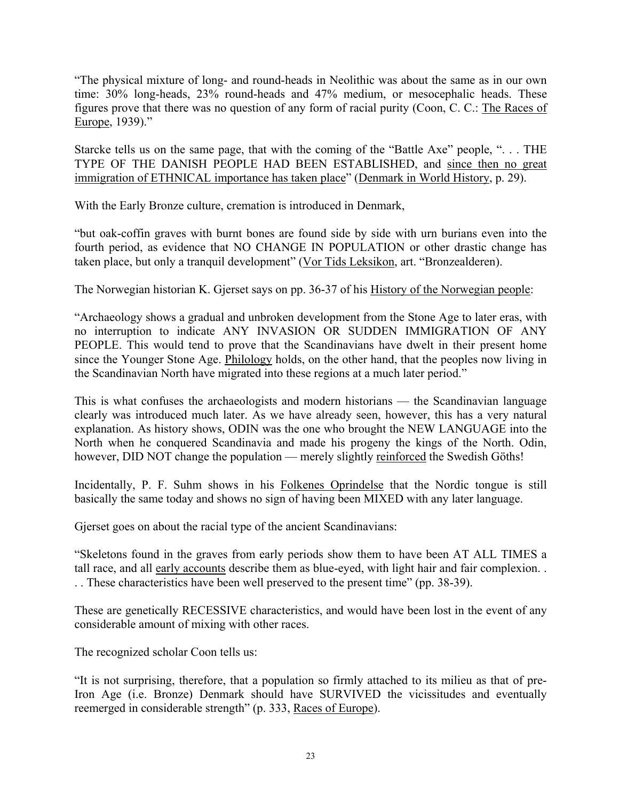"The physical mixture of long- and round-heads in Neolithic was about the same as in our own time: 30% long-heads, 23% round-heads and 47% medium, or mesocephalic heads. These figures prove that there was no question of any form of racial purity (Coon, C. C.: The Races of Europe, 1939)."

Starcke tells us on the same page, that with the coming of the "Battle Axe" people, ". . . THE TYPE OF THE DANISH PEOPLE HAD BEEN ESTABLISHED, and since then no great immigration of ETHNICAL importance has taken place" (Denmark in World History, p. 29).

With the Early Bronze culture, cremation is introduced in Denmark,

"but oak-coffin graves with burnt bones are found side by side with urn burians even into the fourth period, as evidence that NO CHANGE IN POPULATION or other drastic change has taken place, but only a tranquil development" (Vor Tids Leksikon, art. "Bronzealderen).

The Norwegian historian K. Gjerset says on pp. 36-37 of his History of the Norwegian people:

"Archaeology shows a gradual and unbroken development from the Stone Age to later eras, with no interruption to indicate ANY INVASION OR SUDDEN IMMIGRATION OF ANY PEOPLE. This would tend to prove that the Scandinavians have dwelt in their present home since the Younger Stone Age. Philology holds, on the other hand, that the peoples now living in the Scandinavian North have migrated into these regions at a much later period."

This is what confuses the archaeologists and modern historians — the Scandinavian language clearly was introduced much later. As we have already seen, however, this has a very natural explanation. As history shows, ODIN was the one who brought the NEW LANGUAGE into the North when he conquered Scandinavia and made his progeny the kings of the North. Odin, however, DID NOT change the population — merely slightly reinforced the Swedish Göths!

Incidentally, P. F. Suhm shows in his Folkenes Oprindelse that the Nordic tongue is still basically the same today and shows no sign of having been MIXED with any later language.

Gjerset goes on about the racial type of the ancient Scandinavians:

"Skeletons found in the graves from early periods show them to have been AT ALL TIMES a tall race, and all early accounts describe them as blue-eyed, with light hair and fair complexion. . . . These characteristics have been well preserved to the present time" (pp. 38-39).

These are genetically RECESSIVE characteristics, and would have been lost in the event of any considerable amount of mixing with other races.

The recognized scholar Coon tells us:

"It is not surprising, therefore, that a population so firmly attached to its milieu as that of pre-Iron Age (i.e. Bronze) Denmark should have SURVIVED the vicissitudes and eventually reemerged in considerable strength" (p. 333, Races of Europe).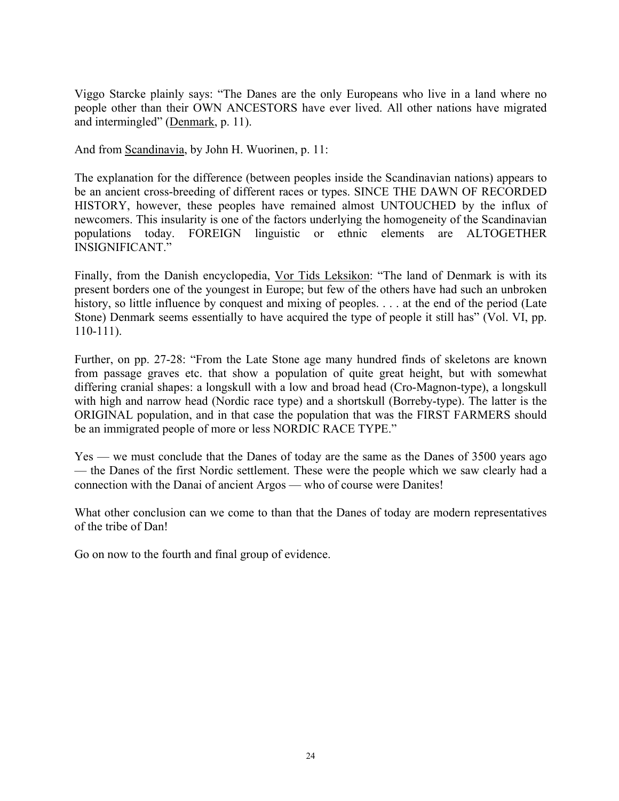Viggo Starcke plainly says: "The Danes are the only Europeans who live in a land where no people other than their OWN ANCESTORS have ever lived. All other nations have migrated and intermingled" (Denmark, p. 11).

And from Scandinavia, by John H. Wuorinen, p. 11:

The explanation for the difference (between peoples inside the Scandinavian nations) appears to be an ancient cross-breeding of different races or types. SINCE THE DAWN OF RECORDED HISTORY, however, these peoples have remained almost UNTOUCHED by the influx of newcomers. This insularity is one of the factors underlying the homogeneity of the Scandinavian populations today. FOREIGN linguistic or ethnic elements are ALTOGETHER INSIGNIFICANT."

Finally, from the Danish encyclopedia, Vor Tids Leksikon: "The land of Denmark is with its present borders one of the youngest in Europe; but few of the others have had such an unbroken history, so little influence by conquest and mixing of peoples. . . . at the end of the period (Late Stone) Denmark seems essentially to have acquired the type of people it still has" (Vol. VI, pp. 110-111).

Further, on pp. 27-28: "From the Late Stone age many hundred finds of skeletons are known from passage graves etc. that show a population of quite great height, but with somewhat differing cranial shapes: a longskull with a low and broad head (Cro-Magnon-type), a longskull with high and narrow head (Nordic race type) and a shortskull (Borreby-type). The latter is the ORIGINAL population, and in that case the population that was the FIRST FARMERS should be an immigrated people of more or less NORDIC RACE TYPE."

Yes — we must conclude that the Danes of today are the same as the Danes of 3500 years ago — the Danes of the first Nordic settlement. These were the people which we saw clearly had a connection with the Danai of ancient Argos — who of course were Danites!

What other conclusion can we come to than that the Danes of today are modern representatives of the tribe of Dan!

Go on now to the fourth and final group of evidence.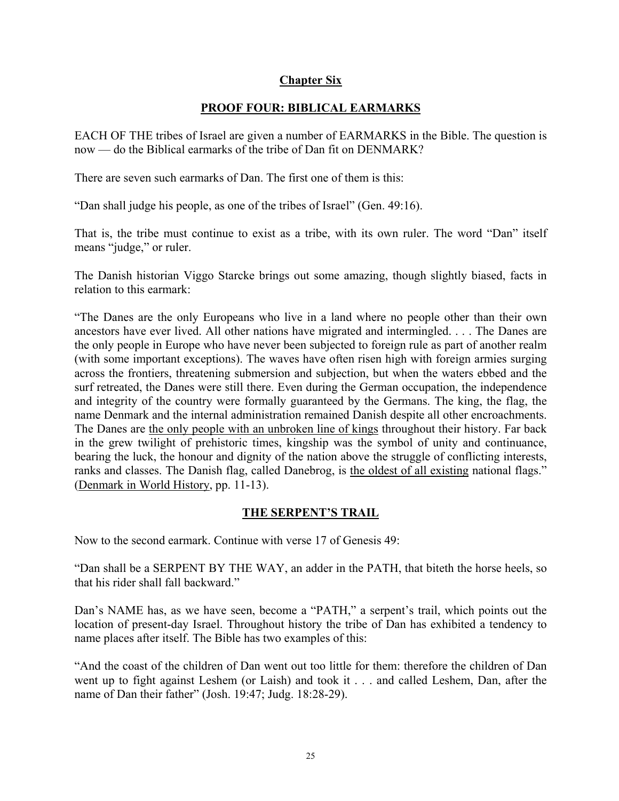#### **Chapter Six**

# **PROOF FOUR: BIBLICAL EARMARKS**

EACH OF THE tribes of Israel are given a number of EARMARKS in the Bible. The question is now — do the Biblical earmarks of the tribe of Dan fit on DENMARK?

There are seven such earmarks of Dan. The first one of them is this:

"Dan shall judge his people, as one of the tribes of Israel" (Gen. 49:16).

That is, the tribe must continue to exist as a tribe, with its own ruler. The word "Dan" itself means "judge," or ruler.

The Danish historian Viggo Starcke brings out some amazing, though slightly biased, facts in relation to this earmark:

"The Danes are the only Europeans who live in a land where no people other than their own ancestors have ever lived. All other nations have migrated and intermingled. . . . The Danes are the only people in Europe who have never been subjected to foreign rule as part of another realm (with some important exceptions). The waves have often risen high with foreign armies surging across the frontiers, threatening submersion and subjection, but when the waters ebbed and the surf retreated, the Danes were still there. Even during the German occupation, the independence and integrity of the country were formally guaranteed by the Germans. The king, the flag, the name Denmark and the internal administration remained Danish despite all other encroachments. The Danes are the only people with an unbroken line of kings throughout their history. Far back in the grew twilight of prehistoric times, kingship was the symbol of unity and continuance, bearing the luck, the honour and dignity of the nation above the struggle of conflicting interests, ranks and classes. The Danish flag, called Danebrog, is the oldest of all existing national flags." (Denmark in World History, pp. 11-13).

## **THE SERPENT'S TRAIL**

Now to the second earmark. Continue with verse 17 of Genesis 49:

"Dan shall be a SERPENT BY THE WAY, an adder in the PATH, that biteth the horse heels, so that his rider shall fall backward."

Dan's NAME has, as we have seen, become a "PATH," a serpent's trail, which points out the location of present-day Israel. Throughout history the tribe of Dan has exhibited a tendency to name places after itself. The Bible has two examples of this:

"And the coast of the children of Dan went out too little for them: therefore the children of Dan went up to fight against Leshem (or Laish) and took it . . . and called Leshem, Dan, after the name of Dan their father" (Josh. 19:47; Judg. 18:28-29).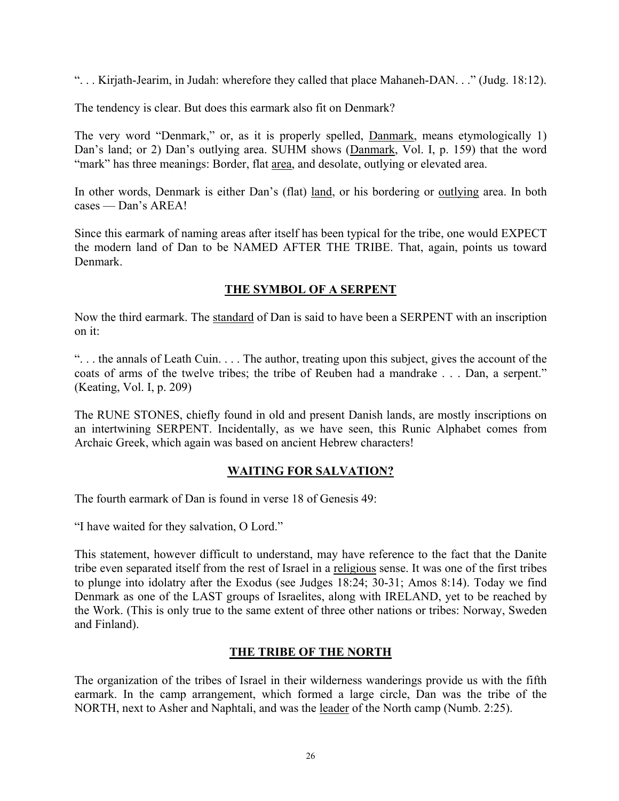". . . Kirjath-Jearim, in Judah: wherefore they called that place Mahaneh-DAN. . ." (Judg. 18:12).

The tendency is clear. But does this earmark also fit on Denmark?

The very word "Denmark," or, as it is properly spelled, **Danmark**, means etymologically 1) Dan's land; or 2) Dan's outlying area. SUHM shows (Danmark, Vol. I, p. 159) that the word "mark" has three meanings: Border, flat area, and desolate, outlying or elevated area.

In other words, Denmark is either Dan's (flat) land, or his bordering or outlying area. In both cases — Dan's AREA!

Since this earmark of naming areas after itself has been typical for the tribe, one would EXPECT the modern land of Dan to be NAMED AFTER THE TRIBE. That, again, points us toward Denmark.

# **THE SYMBOL OF A SERPENT**

Now the third earmark. The standard of Dan is said to have been a SERPENT with an inscription on it:

". . . the annals of Leath Cuin. . . . The author, treating upon this subject, gives the account of the coats of arms of the twelve tribes; the tribe of Reuben had a mandrake . . . Dan, a serpent." (Keating, Vol. I, p. 209)

The RUNE STONES, chiefly found in old and present Danish lands, are mostly inscriptions on an intertwining SERPENT. Incidentally, as we have seen, this Runic Alphabet comes from Archaic Greek, which again was based on ancient Hebrew characters!

## **WAITING FOR SALVATION?**

The fourth earmark of Dan is found in verse 18 of Genesis 49:

"I have waited for they salvation, O Lord."

This statement, however difficult to understand, may have reference to the fact that the Danite tribe even separated itself from the rest of Israel in a religious sense. It was one of the first tribes to plunge into idolatry after the Exodus (see Judges 18:24; 30-31; Amos 8:14). Today we find Denmark as one of the LAST groups of Israelites, along with IRELAND, yet to be reached by the Work. (This is only true to the same extent of three other nations or tribes: Norway, Sweden and Finland).

## **THE TRIBE OF THE NORTH**

The organization of the tribes of Israel in their wilderness wanderings provide us with the fifth earmark. In the camp arrangement, which formed a large circle, Dan was the tribe of the NORTH, next to Asher and Naphtali, and was the leader of the North camp (Numb. 2:25).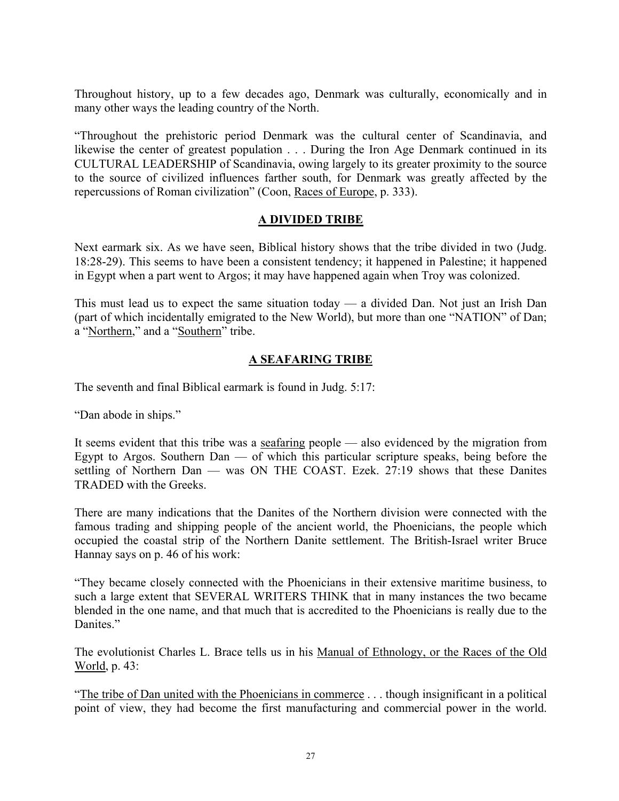Throughout history, up to a few decades ago, Denmark was culturally, economically and in many other ways the leading country of the North.

"Throughout the prehistoric period Denmark was the cultural center of Scandinavia, and likewise the center of greatest population . . . During the Iron Age Denmark continued in its CULTURAL LEADERSHIP of Scandinavia, owing largely to its greater proximity to the source to the source of civilized influences farther south, for Denmark was greatly affected by the repercussions of Roman civilization" (Coon, Races of Europe, p. 333).

#### **A DIVIDED TRIBE**

Next earmark six. As we have seen, Biblical history shows that the tribe divided in two (Judg. 18:28-29). This seems to have been a consistent tendency; it happened in Palestine; it happened in Egypt when a part went to Argos; it may have happened again when Troy was colonized.

This must lead us to expect the same situation today — a divided Dan. Not just an Irish Dan (part of which incidentally emigrated to the New World), but more than one "NATION" of Dan; a "Northern," and a "Southern" tribe.

## **A SEAFARING TRIBE**

The seventh and final Biblical earmark is found in Judg. 5:17:

"Dan abode in ships."

It seems evident that this tribe was a seafaring people — also evidenced by the migration from Egypt to Argos. Southern Dan — of which this particular scripture speaks, being before the settling of Northern Dan — was ON THE COAST. Ezek. 27:19 shows that these Danites TRADED with the Greeks.

There are many indications that the Danites of the Northern division were connected with the famous trading and shipping people of the ancient world, the Phoenicians, the people which occupied the coastal strip of the Northern Danite settlement. The British-Israel writer Bruce Hannay says on p. 46 of his work:

"They became closely connected with the Phoenicians in their extensive maritime business, to such a large extent that SEVERAL WRITERS THINK that in many instances the two became blended in the one name, and that much that is accredited to the Phoenicians is really due to the Danites."

The evolutionist Charles L. Brace tells us in his Manual of Ethnology, or the Races of the Old World, p. 43:

"The tribe of Dan united with the Phoenicians in commerce . . . though insignificant in a political point of view, they had become the first manufacturing and commercial power in the world.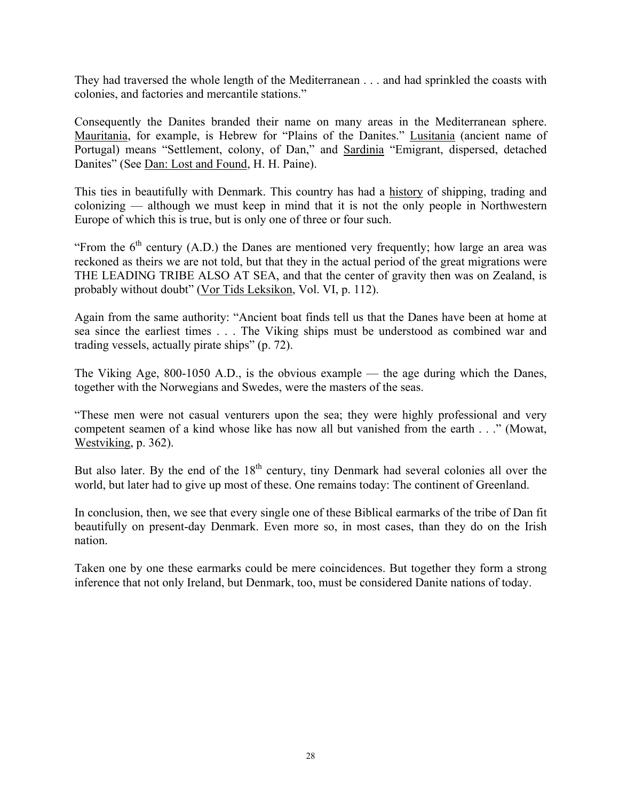They had traversed the whole length of the Mediterranean . . . and had sprinkled the coasts with colonies, and factories and mercantile stations."

Consequently the Danites branded their name on many areas in the Mediterranean sphere. Mauritania, for example, is Hebrew for "Plains of the Danites." Lusitania (ancient name of Portugal) means "Settlement, colony, of Dan," and Sardinia "Emigrant, dispersed, detached Danites" (See Dan: Lost and Found, H. H. Paine).

This ties in beautifully with Denmark. This country has had a history of shipping, trading and colonizing — although we must keep in mind that it is not the only people in Northwestern Europe of which this is true, but is only one of three or four such.

"From the  $6<sup>th</sup>$  century (A.D.) the Danes are mentioned very frequently; how large an area was reckoned as theirs we are not told, but that they in the actual period of the great migrations were THE LEADING TRIBE ALSO AT SEA, and that the center of gravity then was on Zealand, is probably without doubt" (Vor Tids Leksikon, Vol. VI, p. 112).

Again from the same authority: "Ancient boat finds tell us that the Danes have been at home at sea since the earliest times . . . The Viking ships must be understood as combined war and trading vessels, actually pirate ships" (p. 72).

The Viking Age, 800-1050 A.D., is the obvious example — the age during which the Danes, together with the Norwegians and Swedes, were the masters of the seas.

"These men were not casual venturers upon the sea; they were highly professional and very competent seamen of a kind whose like has now all but vanished from the earth . . ." (Mowat, Westviking, p. 362).

But also later. By the end of the  $18<sup>th</sup>$  century, tiny Denmark had several colonies all over the world, but later had to give up most of these. One remains today: The continent of Greenland.

In conclusion, then, we see that every single one of these Biblical earmarks of the tribe of Dan fit beautifully on present-day Denmark. Even more so, in most cases, than they do on the Irish nation.

Taken one by one these earmarks could be mere coincidences. But together they form a strong inference that not only Ireland, but Denmark, too, must be considered Danite nations of today.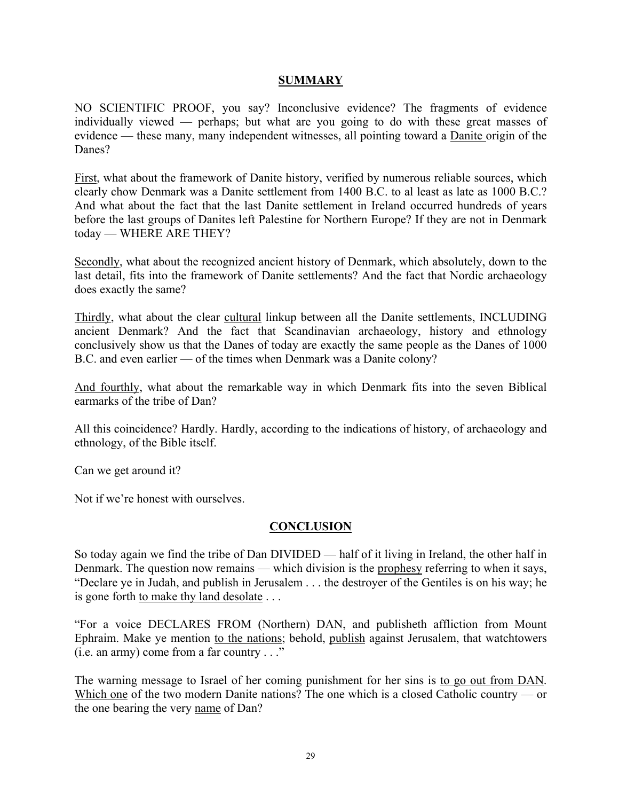#### **SUMMARY**

NO SCIENTIFIC PROOF, you say? Inconclusive evidence? The fragments of evidence individually viewed — perhaps; but what are you going to do with these great masses of evidence — these many, many independent witnesses, all pointing toward a Danite origin of the Danes?

First, what about the framework of Danite history, verified by numerous reliable sources, which clearly chow Denmark was a Danite settlement from 1400 B.C. to al least as late as 1000 B.C.? And what about the fact that the last Danite settlement in Ireland occurred hundreds of years before the last groups of Danites left Palestine for Northern Europe? If they are not in Denmark today — WHERE ARE THEY?

Secondly, what about the recognized ancient history of Denmark, which absolutely, down to the last detail, fits into the framework of Danite settlements? And the fact that Nordic archaeology does exactly the same?

Thirdly, what about the clear cultural linkup between all the Danite settlements, INCLUDING ancient Denmark? And the fact that Scandinavian archaeology, history and ethnology conclusively show us that the Danes of today are exactly the same people as the Danes of 1000 B.C. and even earlier — of the times when Denmark was a Danite colony?

And fourthly, what about the remarkable way in which Denmark fits into the seven Biblical earmarks of the tribe of Dan?

All this coincidence? Hardly. Hardly, according to the indications of history, of archaeology and ethnology, of the Bible itself.

Can we get around it?

Not if we're honest with ourselves.

#### **CONCLUSION**

So today again we find the tribe of Dan DIVIDED — half of it living in Ireland, the other half in Denmark. The question now remains — which division is the prophesy referring to when it says, "Declare ye in Judah, and publish in Jerusalem . . . the destroyer of the Gentiles is on his way; he is gone forth to make thy land desolate . . .

"For a voice DECLARES FROM (Northern) DAN, and publisheth affliction from Mount Ephraim. Make ye mention to the nations; behold, publish against Jerusalem, that watchtowers (i.e. an army) come from a far country . . ."

The warning message to Israel of her coming punishment for her sins is to go out from DAN. Which one of the two modern Danite nations? The one which is a closed Catholic country — or the one bearing the very name of Dan?